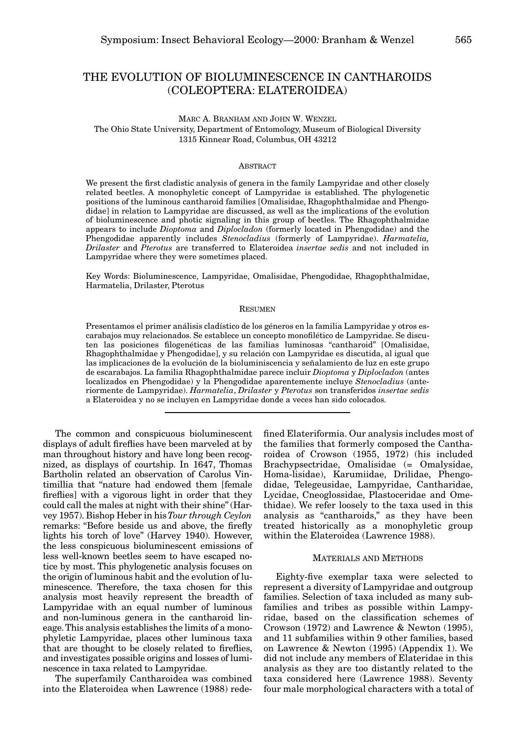# THE EVOLUTION OF BIOLUMINESCENCE IN CANTHAROIDS (COLEOPTERA: ELATEROIDEA)

# MARC A. BRANHAM AND JOHN W. WENZEL The Ohio State University, Department of Entomology, Museum of Biological Diversity 1315 Kinnear Road, Columbus, OH 43212

#### **ABSTRACT**

We present the first cladistic analysis of genera in the family Lampyridae and other closely related beetles. A monophyletic concept of Lampyridae is established. The phylogenetic positions of the luminous cantharoid families [Omalisidae, Rhagophthalmidae and Phengodidae] in relation to Lampyridae are discussed, as well as the implications of the evolution of bioluminescence and photic signaling in this group of beetles. The Rhagophthalmidae appears to include *Dioptoma* and *Diplocladon* (formerly located in Phengodidae) and the Phengodidae apparently includes *Stenocladius* (formerly of Lampyridae). *Harmatelia, Drilaster* and *Pterotus* are transferred to Elateroidea *insertae sedis* and not included in Lampyridae where they were sometimes placed.

Key Words: Bioluminescence, Lampyridae, Omalisidae, Phengodidae, Rhagophthalmidae, Harmatelia, Drilaster, Pterotus

### RESUMEN

Presentamos el primer análisis cladístico de los géneros en la familia Lampyridae y otros escarabajos muy relacionados. Se establece un concepto monofilético de Lampyridae. Se discuten las posiciones filogenéticas de las familias luminosas "cantharoid" [Omalisidae, Rhagophthalmidae y Phengodidae], y su relación con Lampyridae es discutida, al igual que las implicaciones de la evolución de la bioluminiscencia y señalamiento de luz en este grupo de escarabajos. La familia Rhagophthalmidae parece incluir *Dioptoma* y *Diplocladon* (antes localizados en Phengodidae) y la Phengodidae aparentemente incluye *Stenocladius* (anteriormente de Lampyridae). *Harmatelia*, *Drilaster* y *Pterotus* son transferidos *insertae sedis* a Elateroidea y no se incluyen en Lampyridae donde a veces han sido colocados.

The common and conspicuous bioluminescent displays of adult fireflies have been marveled at by man throughout history and have long been recognized, as displays of courtship. In 1647, Thomas Bartholin related an observation of Carolus Vintimillia that "nature had endowed them [female fireflies] with a vigorous light in order that they could call the males at night with their shine" (Harvey 1957). Bishop Heber in his *Tour through Ceylon* remarks: "Before beside us and above, the firefly lights his torch of love" (Harvey 1940). However, the less conspicuous bioluminescent emissions of less well-known beetles seem to have escaped notice by most. This phylogenetic analysis focuses on the origin of luminous habit and the evolution of luminescence. Therefore, the taxa chosen for this analysis most heavily represent the breadth of Lampyridae with an equal number of luminous and non-luminous genera in the cantharoid lineage. This analysis establishes the limits of a monophyletic Lampyridae, places other luminous taxa that are thought to be closely related to fireflies, and investigates possible origins and losses of luminescence in taxa related to Lampyridae.

The superfamily Cantharoidea was combined into the Elateroidea when Lawrence (1988) redefined Elateriformia. Our analysis includes most of the families that formerly composed the Cantharoidea of Crowson (1955, 1972) (his included Brachypsectridae, Omalisidae (= Omalysidae, Homa-lisidae), Karumiidae, Drilidae, Phengodidae, Telegeusidae, Lampyridae, Cantharidae, Lycidae, Cneoglossidae, Plastoceridae and Omethidae). We refer loosely to the taxa used in this analysis as "cantharoids," as they have been treated historically as a monophyletic group within the Elateroidea (Lawrence 1988).

### MATERIALS AND METHODS

Eighty-five exemplar taxa were selected to represent a diversity of Lampyridae and outgroup families. Selection of taxa included as many subfamilies and tribes as possible within Lampyridae, based on the classification schemes of Crowson (1972) and Lawrence & Newton (1995), and 11 subfamilies within 9 other families, based on Lawrence & Newton (1995) (Appendix 1). We did not include any members of Elateridae in this analysis as they are too distantly related to the taxa considered here (Lawrence 1988). Seventy four male morphological characters with a total of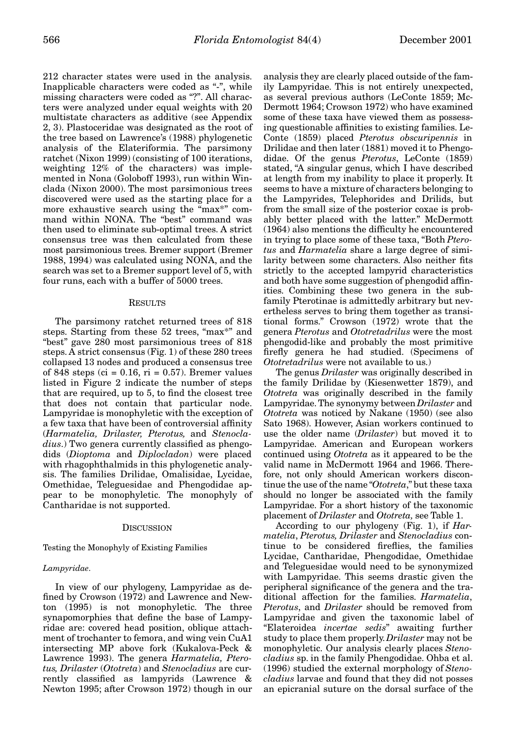212 character states were used in the analysis. Inapplicable characters were coded as "-", while missing characters were coded as "?". All characters were analyzed under equal weights with 20 multistate characters as additive (see Appendix 2, 3). Plastoceridae was designated as the root of the tree based on Lawrence's (1988) phylogenetic analysis of the Elateriformia. The parsimony ratchet (Nixon 1999) (consisting of 100 iterations, weighting 12% of the characters) was implemented in Nona (Goloboff 1993), run within Winclada (Nixon 2000). The most parsimonious trees discovered were used as the starting place for a more exhaustive search using the "max\*" command within NONA. The "best" command was then used to eliminate sub-optimal trees. A strict consensus tree was then calculated from these most parsimonious trees. Bremer support (Bremer 1988, 1994) was calculated using NONA, and the search was set to a Bremer support level of 5, with four runs, each with a buffer of 5000 trees.

### RESULTS

The parsimony ratchet returned trees of 818 steps. Starting from these 52 trees, "max\*" and "best" gave 280 most parsimonious trees of 818 steps. A strict consensus (Fig. 1) of these 280 trees collapsed 13 nodes and produced a consensus tree of 848 steps (ci =  $0.16$ , ri =  $0.57$ ). Bremer values listed in Figure 2 indicate the number of steps that are required, up to 5, to find the closest tree that does not contain that particular node. Lampyridae is monophyletic with the exception of a few taxa that have been of controversial affinity (*Harmatelia, Drilaster, Pterotus,* and *Stenocladius*.) Two genera currently classified as phengodids (*Dioptoma* and *Diplocladon*) were placed with rhagophthalmids in this phylogenetic analysis. The families Drilidae, Omalisidae, Lycidae, Omethidae, Teleguesidae and Phengodidae appear to be monophyletic. The monophyly of Cantharidae is not supported.

#### **DISCUSSION**

Testing the Monophyly of Existing Families

#### *Lampyridae*.

In view of our phylogeny, Lampyridae as defined by Crowson (1972) and Lawrence and Newton (1995) is not monophyletic. The three synapomorphies that define the base of Lampyridae are: covered head position, oblique attachment of trochanter to femora, and wing vein CuA1 intersecting MP above fork (Kukalova-Peck & Lawrence 1993). The genera *Harmatelia, Pterotus, Drilaster* (*Ototreta*) and *Stenocladius* are currently classified as lampyrids (Lawrence & Newton 1995; after Crowson 1972) though in our analysis they are clearly placed outside of the family Lampyridae. This is not entirely unexpected, as several previous authors (LeConte 1859; Mc-Dermott 1964; Crowson 1972) who have examined some of these taxa have viewed them as possessing questionable affinities to existing families. Le-Conte (1859) placed *Pterotus obscuripennis* in Drilidae and then later (1881) moved it to Phengodidae. Of the genus *Pterotus*, LeConte (1859) stated, "A singular genus, which I have described at length from my inability to place it properly. It seems to have a mixture of characters belonging to the Lampyrides, Telephorides and Drilids, but from the small size of the posterior coxae is probably better placed with the latter." McDermott (1964) also mentions the difficulty he encountered in trying to place some of these taxa, "Both *Pterotus* and *Harmatelia* share a large degree of similarity between some characters. Also neither fits strictly to the accepted lampyrid characteristics and both have some suggestion of phengodid affinities. Combining these two genera in the subfamily Pterotinae is admittedly arbitrary but nevertheless serves to bring them together as transitional forms." Crowson (1972) wrote that the genera *Pterotus* and *Ototretadrilus* were the most phengodid-like and probably the most primitive firefly genera he had studied. (Specimens of *Ototretadrilus* were not available to us.)

The genus *Drilaster* was originally described in the family Drilidae by (Kiesenwetter 1879), and *Ototreta* was originally described in the family Lampyridae. The synonymy between *Drilaster* and *Ototreta* was noticed by Nakane (1950) (see also Sato 1968). However, Asian workers continued to use the older name (*Drilaster*) but moved it to Lampyridae. American and European workers continued using *Ototreta* as it appeared to be the valid name in McDermott 1964 and 1966. Therefore, not only should American workers discontinue the use of the name "*Ototreta*," but these taxa should no longer be associated with the family Lampyridae. For a short history of the taxonomic placement of *Drilaster* and *Ototreta,* see Table 1.

According to our phylogeny (Fig. 1), if *Harmatelia*, *Pterotus, Drilaster* and *Stenocladius* continue to be considered fireflies, the families Lycidae, Cantharidae, Phengodidae, Omethidae and Teleguesidae would need to be synonymized with Lampyridae. This seems drastic given the peripheral significance of the genera and the traditional affection for the families. *Harmatelia*, *Pterotus*, and *Drilaster* should be removed from Lampyridae and given the taxonomic label of "Elateroidea *incertae sedis*" awaiting further study to place them properly. *Drilaster* may not be monophyletic. Our analysis clearly places *Stenocladius* sp. in the family Phengodidae. Ohba et al. (1996) studied the external morphology of *Stenocladius* larvae and found that they did not posses an epicranial suture on the dorsal surface of the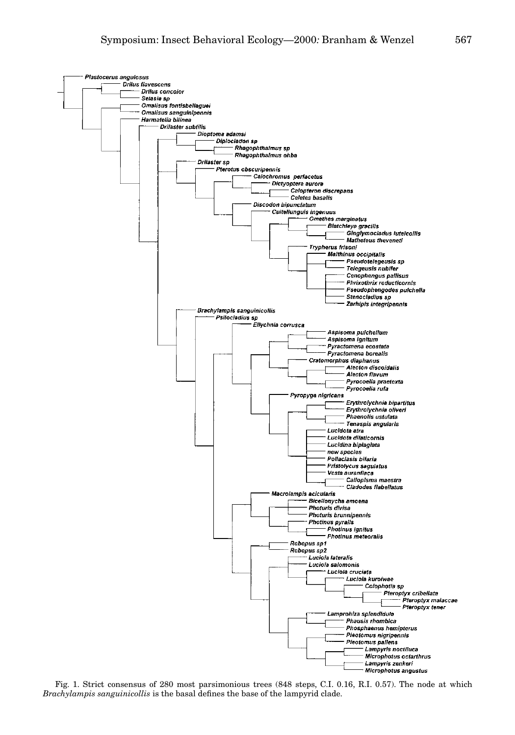

Fig. 1. Strict consensus of 280 most parsimonious trees (848 steps, C.I. 0.16, R.I. 0.57). The node at which *Brachylampis sanguinicollis* is the basal defines the base of the lampyrid clade.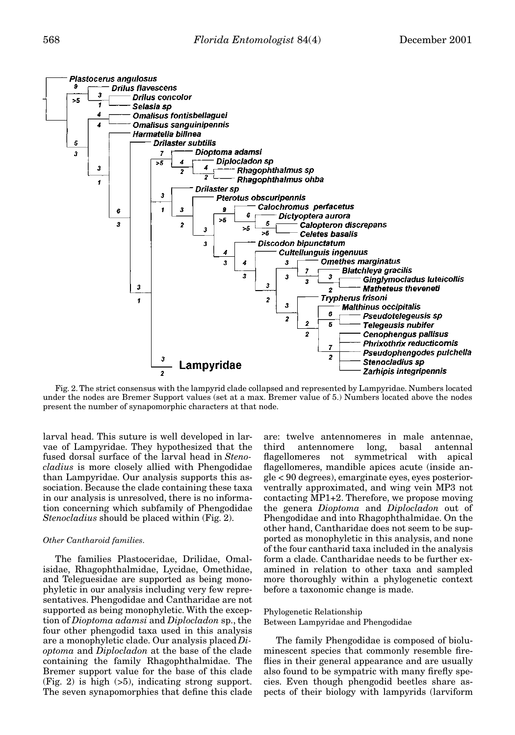

Fig. 2. The strict consensus with the lampyrid clade collapsed and represented by Lampyridae. Numbers located under the nodes are Bremer Support values (set at a max. Bremer value of 5.) Numbers located above the nodes present the number of synapomorphic characters at that node.

larval head. This suture is well developed in larvae of Lampyridae. They hypothesized that the fused dorsal surface of the larval head in *Stenocladius* is more closely allied with Phengodidae than Lampyridae. Our analysis supports this association. Because the clade containing these taxa in our analysis is unresolved, there is no information concerning which subfamily of Phengodidae *Stenocladius* should be placed within (Fig. 2).

### *Other Cantharoid families*.

The families Plastoceridae, Drilidae, Omalisidae, Rhagophthalmidae, Lycidae, Omethidae, and Teleguesidae are supported as being monophyletic in our analysis including very few representatives. Phengodidae and Cantharidae are not supported as being monophyletic. With the exception of *Dioptoma adamsi* and *Diplocladon* sp., the four other phengodid taxa used in this analysis are a monophyletic clade. Our analysis placed *Dioptoma* and *Diplocladon* at the base of the clade containing the family Rhagophthalmidae. The Bremer support value for the base of this clade (Fig. 2) is high (>5), indicating strong support. The seven synapomorphies that define this clade

are: twelve antennomeres in male antennae, third antennomere long, basal antennal flagellomeres not symmetrical with apical flagellomeres, mandible apices acute (inside angle < 90 degrees), emarginate eyes, eyes posteriorventrally approximated, and wing vein MP3 not contacting MP1+2. Therefore, we propose moving the genera *Dioptoma* and *Diplocladon* out of Phengodidae and into Rhagophthalmidae. On the other hand, Cantharidae does not seem to be supported as monophyletic in this analysis, and none of the four cantharid taxa included in the analysis form a clade. Cantharidae needs to be further examined in relation to other taxa and sampled more thoroughly within a phylogenetic context before a taxonomic change is made.

#### Phylogenetic Relationship Between Lampyridae and Phengodidae

The family Phengodidae is composed of bioluminescent species that commonly resemble fireflies in their general appearance and are usually also found to be sympatric with many firefly species. Even though phengodid beetles share aspects of their biology with lampyrids (larviform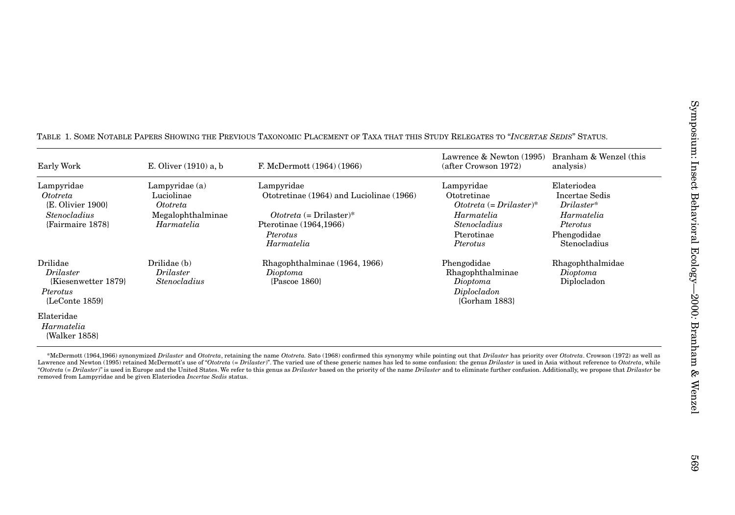| Early Work                                                                                             | E. Oliver (1910) a, b                                                         | F. McDermott (1964) (1966)                                                                                                                                                                                                                                                                                                                                                                                                                                                                                                                                                                                                                                                         | Lawrence & Newton (1995)<br>(after Crowson 1972)                                                                                 | Branham & Wenzel (this<br>analysis)                                                                    |
|--------------------------------------------------------------------------------------------------------|-------------------------------------------------------------------------------|------------------------------------------------------------------------------------------------------------------------------------------------------------------------------------------------------------------------------------------------------------------------------------------------------------------------------------------------------------------------------------------------------------------------------------------------------------------------------------------------------------------------------------------------------------------------------------------------------------------------------------------------------------------------------------|----------------------------------------------------------------------------------------------------------------------------------|--------------------------------------------------------------------------------------------------------|
| Lampyridae<br><i>Ototreta</i><br>{E. Olivier 1900}<br><b>Stenocladius</b><br>{Fairmaire 1878}          | Lampyridae $(a)$<br>Luciolinae<br>Ototreta<br>Megalophthalminae<br>Harmatelia | Lampyridae<br>Ototretinae (1964) and Luciolinae (1966)<br>$October \times$ (= Drilaster)*<br>Pterotinae (1964,1966)<br>Pterotus<br>Harmatelia                                                                                                                                                                                                                                                                                                                                                                                                                                                                                                                                      | Lampyridae<br>Ototretinae<br>$October \in Drilaster$ <sup>*</sup><br>Harmatelia<br><b>Stenocladius</b><br>Pterotinae<br>Pterotus | Elateriodea<br>Incertae Sedis<br>$Drilaster*$<br>Harmatelia<br>Pterotus<br>Phengodidae<br>Stenocladius |
| Drilidae<br>Drilaster<br>{Kiesenwetter 1879}<br>Pterotus<br>{LeConte 1859}<br>Elateridae<br>Harmatelia | Drilidae (b)<br><i>Drilaster</i><br><b>Stenocladius</b>                       | Rhagophthalminae (1964, 1966)<br>Dioptoma<br>{Pascoe 1860}                                                                                                                                                                                                                                                                                                                                                                                                                                                                                                                                                                                                                         | Phengodidae<br>Rhagophthalminae<br>Dioptoma<br>Diplocladon<br>{Gorham 1883}                                                      | Rhagophthalmidae<br>Dioptoma<br>Diplocladon                                                            |
| {Walker 1858}                                                                                          | removed from Lampyridae and be given Elateriodea Incertae Sedis status.       | *McDermott (1964,1966) synonymized Drilaster and Ototreta, retaining the name Ototreta. Sato (1968) confirmed this synonymy while pointing out that Drilaster has priority over Ototreta. Crowson (1972) as well as<br>Lawrence and Newton (1995) retained McDermott's use of "Ototreta (= Drilaster)". The varied use of these generic names has led to some confusion: the genus Drilaster is used in Asia without reference to Ototreta, while<br>"Ototreta (= Drilaster)" is used in Europe and the United States. We refer to this genus as Drilaster based on the priority of the name Drilaster and to eliminate further confusion. Additionally, we propose that Drilaster |                                                                                                                                  |                                                                                                        |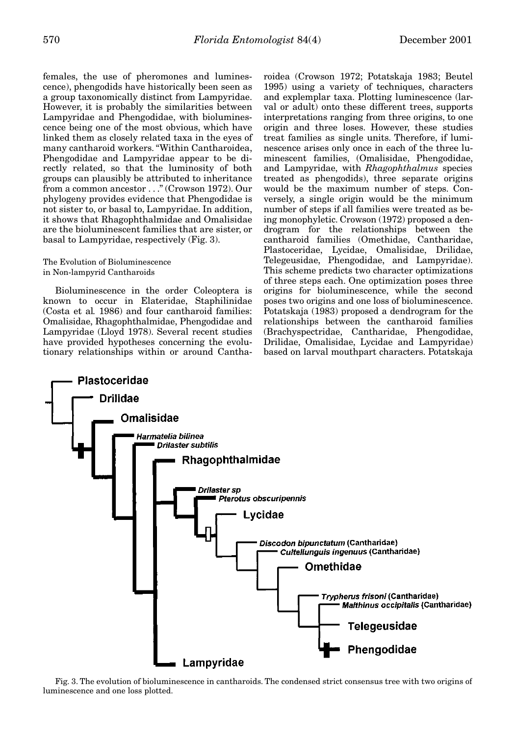females, the use of pheromones and luminescence), phengodids have historically been seen as a group taxonomically distinct from Lampyridae. However, it is probably the similarities between Lampyridae and Phengodidae, with bioluminescence being one of the most obvious, which have linked them as closely related taxa in the eyes of many cantharoid workers. "Within Cantharoidea, Phengodidae and Lampyridae appear to be directly related, so that the luminosity of both groups can plausibly be attributed to inheritance from a common ancestor . . ." (Crowson 1972). Our phylogeny provides evidence that Phengodidae is not sister to, or basal to, Lampyridae. In addition, it shows that Rhagophthalmidae and Omalisidae are the bioluminescent families that are sister, or basal to Lampyridae, respectively (Fig. 3).

# The Evolution of Bioluminescence in Non-lampyrid Cantharoids

Bioluminescence in the order Coleoptera is known to occur in Elateridae, Staphilinidae (Costa et al*.* 1986) and four cantharoid families: Omalisidae, Rhagophthalmidae, Phengodidae and Lampyridae (Lloyd 1978). Several recent studies have provided hypotheses concerning the evolutionary relationships within or around Cantharoidea (Crowson 1972; Potatskaja 1983; Beutel 1995) using a variety of techniques, characters and explemplar taxa. Plotting luminescence (larval or adult) onto these different trees, supports interpretations ranging from three origins, to one origin and three loses. However, these studies treat families as single units. Therefore, if luminescence arises only once in each of the three luminescent families, (Omalisidae, Phengodidae, and Lampyridae, with *Rhagophthalmus* species treated as phengodids), three separate origins would be the maximum number of steps. Conversely, a single origin would be the minimum number of steps if all families were treated as being monophyletic. Crowson (1972) proposed a dendrogram for the relationships between the cantharoid families (Omethidae, Cantharidae, Plastoceridae, Lycidae, Omalisidae, Drilidae, Telegeusidae, Phengodidae, and Lampyridae). This scheme predicts two character optimizations of three steps each. One optimization poses three origins for bioluminescence, while the second poses two origins and one loss of bioluminescence. Potatskaja (1983) proposed a dendrogram for the relationships between the cantharoid families (Brachyspectridae, Cantharidae, Phengodidae, Drilidae, Omalisidae, Lycidae and Lampyridae) based on larval mouthpart characters. Potatskaja



Fig. 3. The evolution of bioluminescence in cantharoids. The condensed strict consensus tree with two origins of luminescence and one loss plotted.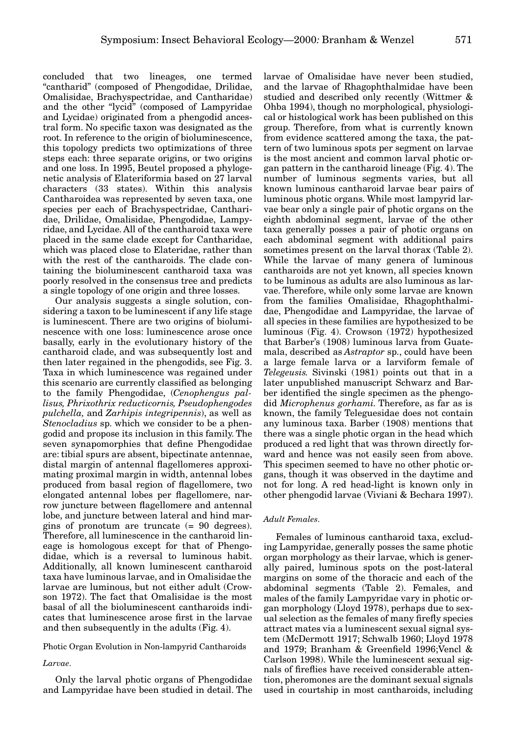concluded that two lineages, one termed "cantharid" (composed of Phengodidae, Drilidae, Omalisidae, Brachyspectridae, and Cantharidae) and the other "lycid" (composed of Lampyridae and Lycidae) originated from a phengodid ancestral form. No specific taxon was designated as the root. In reference to the origin of bioluminescence, this topology predicts two optimizations of three steps each: three separate origins, or two origins and one loss. In 1995, Beutel proposed a phylogenetic analysis of Elateriformia based on 27 larval characters (33 states). Within this analysis Cantharoidea was represented by seven taxa, one species per each of Brachyspectridae, Cantharidae, Drilidae, Omalisidae, Phengodidae, Lampyridae, and Lycidae. All of the cantharoid taxa were placed in the same clade except for Cantharidae, which was placed close to Elateridae, rather than with the rest of the cantharoids. The clade containing the bioluminescent cantharoid taxa was poorly resolved in the consensus tree and predicts a single topology of one origin and three losses.

Our analysis suggests a single solution, considering a taxon to be luminescent if any life stage is luminescent. There are two origins of bioluminescence with one loss: luminescence arose once basally, early in the evolutionary history of the cantharoid clade, and was subsequently lost and then later regained in the phengodids, see Fig. 3. Taxa in which luminescence was regained under this scenario are currently classified as belonging to the family Phengodidae, (*Cenophengus pallisus, Phrixothrix reducticornis, Pseudophengodes pulchella,* and *Zarhipis integripennis*), as well as *Stenocladius* sp. which we consider to be a phengodid and propose its inclusion in this family. The seven synapomorphies that define Phengodidae are: tibial spurs are absent, bipectinate antennae, distal margin of antennal flagellomeres approximating proximal margin in width, antennal lobes produced from basal region of flagellomere, two elongated antennal lobes per flagellomere, narrow juncture between flagellomere and antennal lobe, and juncture between lateral and hind margins of pronotum are truncate (= 90 degrees). Therefore, all luminescence in the cantharoid lineage is homologous except for that of Phengodidae, which is a reversal to luminous habit. Additionally, all known luminescent cantharoid taxa have luminous larvae, and in Omalisidae the larvae are luminous, but not either adult (Crowson 1972). The fact that Omalisidae is the most basal of all the bioluminescent cantharoids indicates that luminescence arose first in the larvae and then subsequently in the adults (Fig. 4).

# Photic Organ Evolution in Non-lampyrid Cantharoids

# *Larvae*.

Only the larval photic organs of Phengodidae and Lampyridae have been studied in detail. The larvae of Omalisidae have never been studied, and the larvae of Rhagophthalmidae have been studied and described only recently (Wittmer & Ohba 1994), though no morphological, physiological or histological work has been published on this group. Therefore, from what is currently known from evidence scattered among the taxa, the pattern of two luminous spots per segment on larvae is the most ancient and common larval photic organ pattern in the cantharoid lineage (Fig. 4). The number of luminous segments varies, but all known luminous cantharoid larvae bear pairs of luminous photic organs. While most lampyrid larvae bear only a single pair of photic organs on the eighth abdominal segment, larvae of the other taxa generally posses a pair of photic organs on each abdominal segment with additional pairs sometimes present on the larval thorax (Table 2). While the larvae of many genera of luminous cantharoids are not yet known, all species known to be luminous as adults are also luminous as larvae. Therefore, while only some larvae are known from the families Omalisidae, Rhagophthalmidae, Phengodidae and Lampyridae, the larvae of all species in these families are hypothesized to be luminous (Fig. 4). Crowson (1972) hypothesized that Barber's (1908) luminous larva from Guatemala, described as *Astraptor* sp., could have been a large female larva or a larviform female of *Telegeusis.* Sivinski (1981) points out that in a later unpublished manuscript Schwarz and Barber identified the single specimen as the phengodid *Microphenus gorhami*. Therefore, as far as is known, the family Teleguesidae does not contain any luminous taxa. Barber (1908) mentions that there was a single photic organ in the head which produced a red light that was thrown directly forward and hence was not easily seen from above. This specimen seemed to have no other photic organs, though it was observed in the daytime and not for long. A red head-light is known only in other phengodid larvae (Viviani & Bechara 1997).

# *Adult Females*.

Females of luminous cantharoid taxa, excluding Lampyridae, generally posses the same photic organ morphology as their larvae, which is generally paired, luminous spots on the post-lateral margins on some of the thoracic and each of the abdominal segments (Table 2). Females, and males of the family Lampyridae vary in photic organ morphology (Lloyd 1978), perhaps due to sexual selection as the females of many firefly species attract mates via a luminescent sexual signal system (McDermott 1917; Schwalb 1960; Lloyd 1978 and 1979; Branham & Greenfield 1996;Vencl & Carlson 1998). While the luminescent sexual signals of fireflies have received considerable attention, pheromones are the dominant sexual signals used in courtship in most cantharoids, including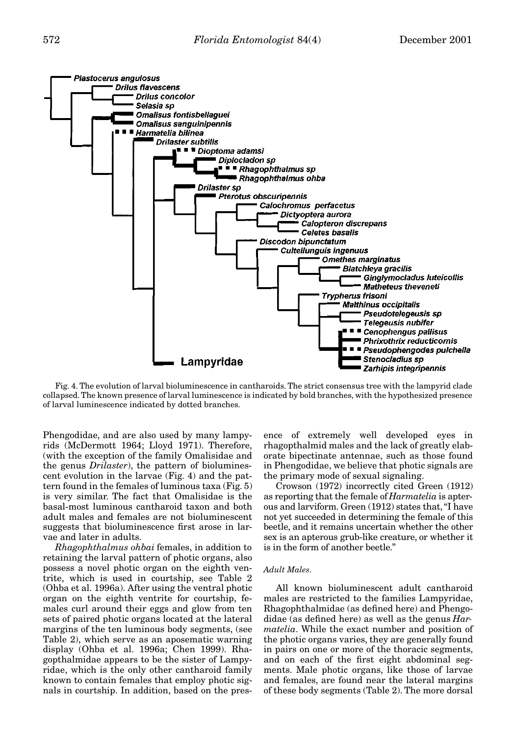

Fig. 4. The evolution of larval bioluminescence in cantharoids. The strict consensus tree with the lampyrid clade collapsed. The known presence of larval luminescence is indicated by bold branches, with the hypothesized presence of larval luminescence indicated by dotted branches.

Phengodidae, and are also used by many lampyrids (McDermott 1964; Lloyd 1971). Therefore, (with the exception of the family Omalisidae and the genus *Drilaster*), the pattern of bioluminescent evolution in the larvae (Fig. 4) and the pattern found in the females of luminous taxa (Fig. 5) is very similar. The fact that Omalisidae is the basal-most luminous cantharoid taxon and both adult males and females are not bioluminescent suggests that bioluminescence first arose in larvae and later in adults.

*Rhagophthalmus ohbai* females, in addition to retaining the larval pattern of photic organs, also possess a novel photic organ on the eighth ventrite, which is used in courtship, see Table 2 (Ohba et al. 1996a). After using the ventral photic organ on the eighth ventrite for courtship, females curl around their eggs and glow from ten sets of paired photic organs located at the lateral margins of the ten luminous body segments, (see Table 2), which serve as an aposematic warning display (Ohba et al. 1996a; Chen 1999). Rhagopthalmidae appears to be the sister of Lampyridae, which is the only other cantharoid family known to contain females that employ photic signals in courtship. In addition, based on the presence of extremely well developed eyes in rhagopthalmid males and the lack of greatly elaborate bipectinate antennae, such as those found in Phengodidae, we believe that photic signals are the primary mode of sexual signaling.

Crowson (1972) incorrectly cited Green (1912) as reporting that the female of *Harmatelia* is apterous and larviform. Green (1912) states that, "I have not yet succeeded in determining the female of this beetle, and it remains uncertain whether the other sex is an apterous grub-like creature, or whether it is in the form of another beetle."

### *Adult Males*.

All known bioluminescent adult cantharoid males are restricted to the families Lampyridae, Rhagophthalmidae (as defined here) and Phengodidae (as defined here) as well as the genus *Harmatelia*. While the exact number and position of the photic organs varies, they are generally found in pairs on one or more of the thoracic segments, and on each of the first eight abdominal segments. Male photic organs, like those of larvae and females, are found near the lateral margins of these body segments (Table 2). The more dorsal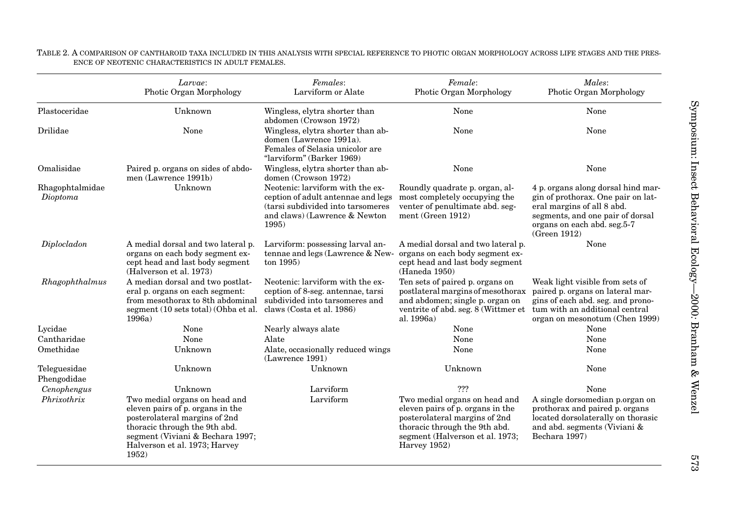### TABLE 2. A COMPARISON OF CANTHAROID TAXA INCLUDED IN THIS ANALYSIS WITH SPECIAL REFERENCE TO PHOTIC ORGAN MORPHOLOGY ACROSS LIFE STAGES AND THE PRES-ENCE OF NEOTENIC CHARACTERISTICS IN ADULT FEMALES.

|                             | Larvae:<br>Photic Organ Morphology                                                                                                                                                                                | Females:<br>Larviform or Alate                                                                                                                         | Female:<br>Photic Organ Morphology                                                                                                                                                     | Males:<br>Photic Organ Morphology                                                                                                                                                         |
|-----------------------------|-------------------------------------------------------------------------------------------------------------------------------------------------------------------------------------------------------------------|--------------------------------------------------------------------------------------------------------------------------------------------------------|----------------------------------------------------------------------------------------------------------------------------------------------------------------------------------------|-------------------------------------------------------------------------------------------------------------------------------------------------------------------------------------------|
| Plastoceridae               | Unknown                                                                                                                                                                                                           | Wingless, elytra shorter than<br>abdomen (Crowson 1972)                                                                                                | None                                                                                                                                                                                   | None                                                                                                                                                                                      |
| Drilidae                    | None                                                                                                                                                                                                              | Wingless, elytra shorter than ab-<br>domen (Lawrence 1991a).<br>Females of Selasia unicolor are<br>"larviform" (Barker 1969)                           | None                                                                                                                                                                                   | None                                                                                                                                                                                      |
| Omalisidae                  | Paired p. organs on sides of abdo-<br>men (Lawrence 1991b)                                                                                                                                                        | Wingless, elytra shorter than ab-<br>domen (Crowson 1972)                                                                                              | None                                                                                                                                                                                   | None                                                                                                                                                                                      |
| Rhagophtalmidae<br>Dioptoma | Unknown                                                                                                                                                                                                           | Neotenic: larviform with the ex-<br>ception of adult antennae and legs<br>(tarsi subdivided into tarsomeres)<br>and claws) (Lawrence & Newton<br>1995) | Roundly quadrate p. organ, al-<br>most completely occupying the<br>venter of penultimate abd. seg-<br>ment (Green 1912)                                                                | 4 p. organs along dorsal hind mar-<br>gin of prothorax. One pair on lat-<br>eral margins of all 8 abd.<br>segments, and one pair of dorsal<br>organs on each abd. seg.5-7<br>(Green 1912) |
| Diplocladon                 | A medial dorsal and two lateral p.<br>organs on each body segment ex-<br>cept head and last body segment<br>(Halverson et al. 1973)                                                                               | Larviform: possessing larval an-<br>tennae and legs (Lawrence & New-<br>ton 1995)                                                                      | A medial dorsal and two lateral p.<br>organs on each body segment ex-<br>cept head and last body segment<br>(Haneda 1950)                                                              | None                                                                                                                                                                                      |
| Rhagophthalmus              | A median dorsal and two postlat-<br>eral p. organs on each segment:<br>from mesothorax to 8th abdominal<br>segment (10 sets total) (Ohba et al.<br>1996a)                                                         | Neotenic: larviform with the ex-<br>ception of 8-seg. antennae, tarsi<br>subdivided into tarsomeres and<br>claws (Costa et al. 1986)                   | Ten sets of paired p. organs on<br>postlateral margins of mesothorax<br>and abdomen; single p. organ on<br>ventrite of abd. seg. 8 (Wittmer et<br>al. 1996a)                           | Weak light visible from sets of<br>paired p. organs on lateral mar-<br>gins of each abd. seg. and prono-<br>tum with an additional central<br>organ on mesonotum (Chen 1999)              |
| Lycidae                     | None                                                                                                                                                                                                              | Nearly always alate                                                                                                                                    | None                                                                                                                                                                                   | None                                                                                                                                                                                      |
| Cantharidae                 | None                                                                                                                                                                                                              | Alate                                                                                                                                                  | None                                                                                                                                                                                   | None                                                                                                                                                                                      |
| Omethidae                   | Unknown                                                                                                                                                                                                           | Alate, occasionally reduced wings<br>(Lawrence 1991)                                                                                                   | None                                                                                                                                                                                   | None                                                                                                                                                                                      |
| Teleguesidae<br>Phengodidae | Unknown                                                                                                                                                                                                           | Unknown                                                                                                                                                | Unknown                                                                                                                                                                                | None                                                                                                                                                                                      |
| Cenophengus                 | Unknown                                                                                                                                                                                                           | Larviform                                                                                                                                              | ???                                                                                                                                                                                    | None                                                                                                                                                                                      |
| Phrixothrix                 | Two medial organs on head and<br>eleven pairs of p. organs in the<br>posterolateral margins of 2nd<br>thoracic through the 9th abd.<br>segment (Viviani & Bechara 1997;<br>Halverson et al. 1973; Harvey<br>1952) | Larviform                                                                                                                                              | Two medial organs on head and<br>eleven pairs of p. organs in the<br>posterolateral margins of 2nd<br>thoracic through the 9th abd.<br>segment (Halverson et al. 1973;<br>Harvey 1952) | A single dorsomedian p.organ on<br>prothorax and paired p. organs<br>located dorsolaterally on thorasic<br>and abd. segments (Viviani $\&$<br>Bechara 1997)                               |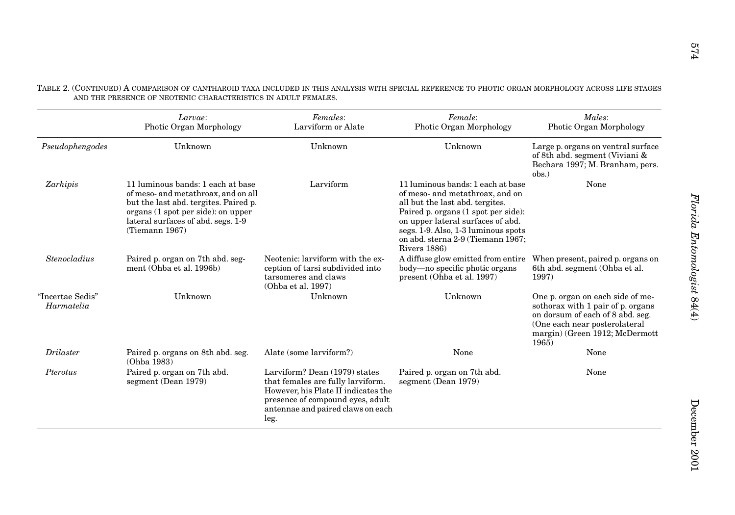|                                | Larvae:<br>Photic Organ Morphology                                                                                                                                                                              | Females:<br>Larviform or Alate                                                                                                                                                             | Female:<br>Photic Organ Morphology                                                                                                                                                                                                                                              | Males:<br>Photic Organ Morphology                                                                                                                                                     |
|--------------------------------|-----------------------------------------------------------------------------------------------------------------------------------------------------------------------------------------------------------------|--------------------------------------------------------------------------------------------------------------------------------------------------------------------------------------------|---------------------------------------------------------------------------------------------------------------------------------------------------------------------------------------------------------------------------------------------------------------------------------|---------------------------------------------------------------------------------------------------------------------------------------------------------------------------------------|
| Pseudophengodes                | Unknown                                                                                                                                                                                                         | Unknown                                                                                                                                                                                    | Unknown                                                                                                                                                                                                                                                                         | Large p. organs on ventral surface<br>of 8th abd. segment (Viviani $\&$<br>Bechara 1997; M. Branham, pers.<br>$obs.$ )                                                                |
| Zarhipis                       | 11 luminous bands: 1 each at base<br>of meso- and metathroax, and on all<br>but the last abd. tergites. Paired p.<br>organs (1 spot per side): on upper<br>lateral surfaces of abd. segs. 1-9<br>(Tiemann 1967) | Larviform                                                                                                                                                                                  | 11 luminous bands: 1 each at base<br>of meso- and metathroax, and on<br>all but the last abd. tergites.<br>Paired p. organs (1 spot per side):<br>on upper lateral surfaces of abd.<br>segs. 1-9. Also, 1-3 luminous spots<br>on abd. sterna 2-9 (Tiemann 1967;<br>Rivers 1886) | None                                                                                                                                                                                  |
| Stenocladius                   | Paired p. organ on 7th abd. seg-<br>ment (Ohba et al. 1996b)                                                                                                                                                    | Neotenic: larviform with the ex-<br>ception of tarsi subdivided into<br>tarsomeres and claws<br>(Ohba et al. 1997)                                                                         | A diffuse glow emitted from entire<br>body—no specific photic organs<br>present (Ohba et al. 1997)                                                                                                                                                                              | When present, paired p. organs on<br>6th abd. segment (Ohba et al.<br>1997)                                                                                                           |
| "Incertae Sedis"<br>Harmatelia | Unknown                                                                                                                                                                                                         | Unknown                                                                                                                                                                                    | Unknown                                                                                                                                                                                                                                                                         | One p. organ on each side of me-<br>sothorax with 1 pair of p. organs<br>on dorsum of each of 8 abd. seg.<br>(One each near posterolateral<br>margin) (Green 1912; McDermott<br>1965) |
| <b>Drilaster</b>               | Paired p. organs on 8th abd. seg.<br>(Ohba 1983)                                                                                                                                                                | Alate (some larviform?)                                                                                                                                                                    | None                                                                                                                                                                                                                                                                            | None                                                                                                                                                                                  |
| Pterotus                       | Paired p. organ on 7th abd.<br>segment (Dean 1979)                                                                                                                                                              | Larviform? Dean (1979) states<br>that females are fully larviform.<br>However, his Plate II indicates the<br>presence of compound eyes, adult<br>antennae and paired claws on each<br>leg. | Paired p. organ on 7th abd.<br>segment (Dean 1979)                                                                                                                                                                                                                              | None                                                                                                                                                                                  |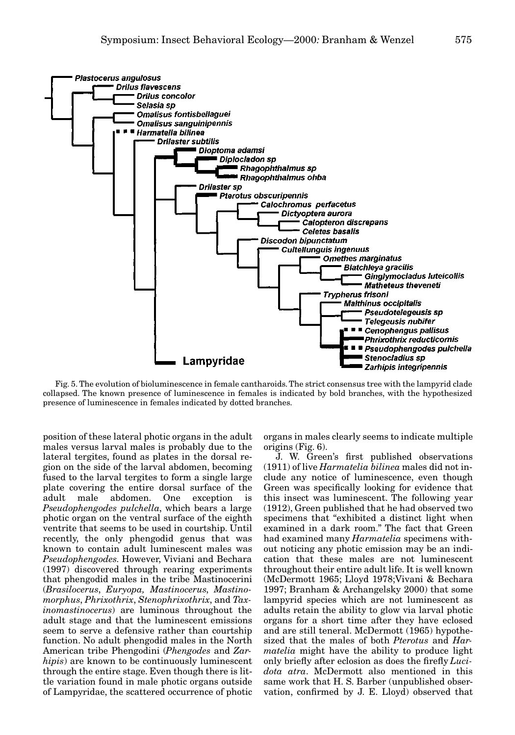

Fig. 5. The evolution of bioluminescence in female cantharoids. The strict consensus tree with the lampyrid clade collapsed. The known presence of luminescence in females is indicated by bold branches, with the hypothesized presence of luminescence in females indicated by dotted branches.

position of these lateral photic organs in the adult males versus larval males is probably due to the lateral tergites, found as plates in the dorsal region on the side of the larval abdomen, becoming fused to the larval tergites to form a single large plate covering the entire dorsal surface of the adult male abdomen. One exception is *Pseudophengodes pulchella*, which bears a large photic organ on the ventral surface of the eighth ventrite that seems to be used in courtship. Until recently, the only phengodid genus that was known to contain adult luminescent males was *Pseudophengodes*. However, Viviani and Bechara (1997) discovered through rearing experiments that phengodid males in the tribe Mastinocerini (*Brasilocerus*, *Euryopa, Mastinocerus*, *Mastinomorphus*, *Phrixothrix*, *Stenophrixothrix*, and *Taxinomastinocerus*) are luminous throughout the adult stage and that the luminescent emissions seem to serve a defensive rather than courtship function. No adult phengodid males in the North American tribe Phengodini (*Phengodes* and *Zarhipis*) are known to be continuously luminescent through the entire stage. Even though there is little variation found in male photic organs outside of Lampyridae, the scattered occurrence of photic

organs in males clearly seems to indicate multiple origins (Fig. 6).

J. W. Green's first published observations (1911) of live *Harmatelia bilinea* males did not include any notice of luminescence, even though Green was specifically looking for evidence that this insect was luminescent. The following year (1912), Green published that he had observed two specimens that "exhibited a distinct light when examined in a dark room." The fact that Green had examined many *Harmatelia* specimens without noticing any photic emission may be an indication that these males are not luminescent throughout their entire adult life. It is well known (McDermott 1965; Lloyd 1978;Vivani & Bechara 1997; Branham & Archangelsky 2000) that some lampyrid species which are not luminescent as adults retain the ability to glow via larval photic organs for a short time after they have eclosed and are still teneral. McDermott (1965) hypothesized that the males of both *Pterotus* and *Harmatelia* might have the ability to produce light only briefly after eclosion as does the firefly *Lucidota atra*. McDermott also mentioned in this same work that H. S. Barber (unpublished observation, confirmed by J. E. Lloyd) observed that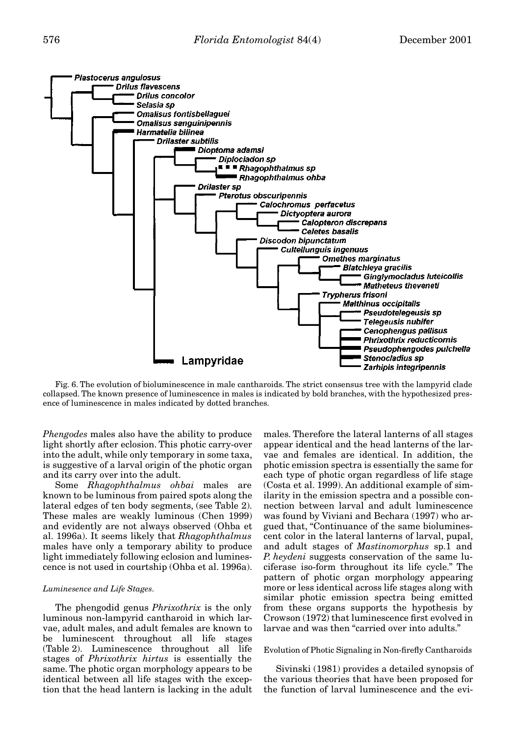

Fig. 6. The evolution of bioluminescence in male cantharoids. The strict consensus tree with the lampyrid clade collapsed. The known presence of luminescence in males is indicated by bold branches, with the hypothesized presence of luminescence in males indicated by dotted branches.

*Phengodes* males also have the ability to produce light shortly after eclosion. This photic carry-over into the adult, while only temporary in some taxa, is suggestive of a larval origin of the photic organ and its carry over into the adult.

Some *Rhagophthalmus ohbai* males are known to be luminous from paired spots along the lateral edges of ten body segments, (see Table 2). These males are weakly luminous (Chen 1999) and evidently are not always observed (Ohba et al. 1996a). It seems likely that *Rhagophthalmus* males have only a temporary ability to produce light immediately following eclosion and luminescence is not used in courtship (Ohba et al. 1996a).

# *Luminesence and Life Stages*.

The phengodid genus *Phrixothrix* is the only luminous non-lampyrid cantharoid in which larvae, adult males, and adult females are known to be luminescent throughout all life stages (Table 2). Luminescence throughout all life stages of *Phrixothrix hirtus* is essentially the same. The photic organ morphology appears to be identical between all life stages with the exception that the head lantern is lacking in the adult males. Therefore the lateral lanterns of all stages appear identical and the head lanterns of the larvae and females are identical. In addition, the photic emission spectra is essentially the same for each type of photic organ regardless of life stage (Costa et al. 1999). An additional example of similarity in the emission spectra and a possible connection between larval and adult luminescence was found by Viviani and Bechara (1997) who argued that, "Continuance of the same bioluminescent color in the lateral lanterns of larval, pupal, and adult stages of *Mastinomorphus* sp.1 and *P. heydeni* suggests conservation of the same luciferase iso-form throughout its life cycle." The pattern of photic organ morphology appearing more or less identical across life stages along with similar photic emission spectra being emitted from these organs supports the hypothesis by Crowson (1972) that luminescence first evolved in larvae and was then "carried over into adults."

### Evolution of Photic Signaling in Non-firefly Cantharoids

Sivinski (1981) provides a detailed synopsis of the various theories that have been proposed for the function of larval luminescence and the evi-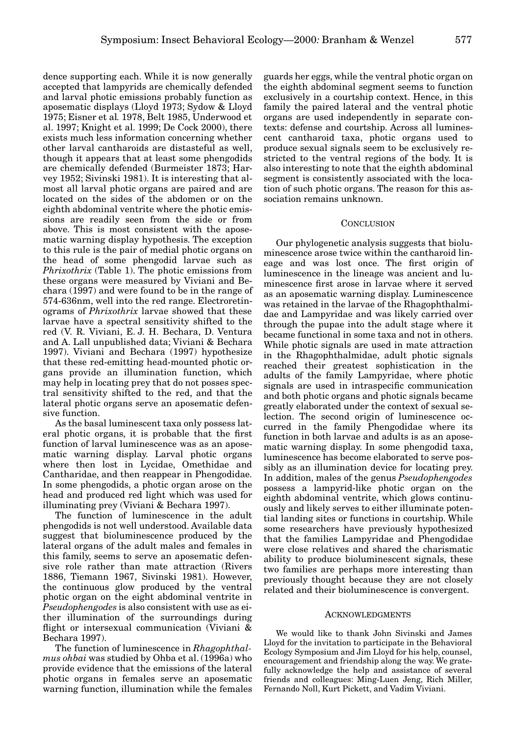dence supporting each. While it is now generally accepted that lampyrids are chemically defended and larval photic emissions probably function as aposematic displays (Lloyd 1973; Sydow & Lloyd 1975; Eisner et al*.* 1978, Belt 1985, Underwood et al. 1997; Knight et al. 1999; De Cock 2000), there exists much less information concerning whether other larval cantharoids are distasteful as well, though it appears that at least some phengodids are chemically defended (Burmeister 1873; Harvey 1952; Sivinski 1981). It is interesting that almost all larval photic organs are paired and are located on the sides of the abdomen or on the eighth abdominal ventrite where the photic emissions are readily seen from the side or from above. This is most consistent with the aposematic warning display hypothesis. The exception to this rule is the pair of medial photic organs on the head of some phengodid larvae such as *Phrixothrix* (Table 1). The photic emissions from these organs were measured by Viviani and Bechara (1997) and were found to be in the range of 574-636nm, well into the red range. Electroretinograms of *Phrixothrix* larvae showed that these larvae have a spectral sensitivity shifted to the red (V. R. Viviani, E. J. H. Bechara, D. Ventura and A. Lall unpublished data; Viviani & Bechara 1997). Viviani and Bechara (1997) hypothesize that these red-emitting head-mounted photic organs provide an illumination function, which may help in locating prey that do not posses spectral sensitivity shifted to the red, and that the lateral photic organs serve an aposematic defensive function.

As the basal luminescent taxa only possess lateral photic organs, it is probable that the first function of larval luminescence was as an aposematic warning display. Larval photic organs where then lost in Lycidae, Omethidae and Cantharidae, and then reappear in Phengodidae. In some phengodids, a photic organ arose on the head and produced red light which was used for illuminating prey (Viviani & Bechara 1997).

The function of luminescence in the adult phengodids is not well understood. Available data suggest that bioluminescence produced by the lateral organs of the adult males and females in this family, seems to serve an aposematic defensive role rather than mate attraction (Rivers 1886, Tiemann 1967, Sivinski 1981). However, the continuous glow produced by the ventral photic organ on the eight abdominal ventrite in *Pseudophengodes* is also consistent with use as either illumination of the surroundings during flight or intersexual communication (Viviani & Bechara 1997).

The function of luminescence in *Rhagophthalmus ohbai* was studied by Ohba et al. (1996a) who provide evidence that the emissions of the lateral photic organs in females serve an aposematic warning function, illumination while the females

guards her eggs, while the ventral photic organ on the eighth abdominal segment seems to function exclusively in a courtship context. Hence, in this family the paired lateral and the ventral photic organs are used independently in separate contexts: defense and courtship. Across all luminescent cantharoid taxa, photic organs used to produce sexual signals seem to be exclusively restricted to the ventral regions of the body. It is also interesting to note that the eighth abdominal segment is consistently associated with the location of such photic organs. The reason for this association remains unknown.

### **CONCLUSION**

Our phylogenetic analysis suggests that bioluminescence arose twice within the cantharoid lineage and was lost once. The first origin of luminescence in the lineage was ancient and luminescence first arose in larvae where it served as an aposematic warning display. Luminescence was retained in the larvae of the Rhagophthalmidae and Lampyridae and was likely carried over through the pupae into the adult stage where it became functional in some taxa and not in others. While photic signals are used in mate attraction in the Rhagophthalmidae, adult photic signals reached their greatest sophistication in the adults of the family Lampyridae, where photic signals are used in intraspecific communication and both photic organs and photic signals became greatly elaborated under the context of sexual selection. The second origin of luminescence occurred in the family Phengodidae where its function in both larvae and adults is as an aposematic warning display. In some phengodid taxa, luminescence has become elaborated to serve possibly as an illumination device for locating prey. In addition, males of the genus *Pseudophengodes* possess a lampyrid-like photic organ on the eighth abdominal ventrite, which glows continuously and likely serves to either illuminate potential landing sites or functions in courtship. While some researchers have previously hypothesized that the families Lampyridae and Phengodidae were close relatives and shared the charismatic ability to produce bioluminescent signals, these two families are perhaps more interesting than previously thought because they are not closely related and their bioluminescence is convergent.

### ACKNOWLEDGMENTS

We would like to thank John Sivinski and James Lloyd for the invitation to participate in the Behavioral Ecology Symposium and Jim Lloyd for his help, counsel, encouragement and friendship along the way. We gratefully acknowledge the help and assistance of several friends and colleagues: Ming-Luen Jeng, Rich Miller, Fernando Noll, Kurt Pickett, and Vadim Viviani.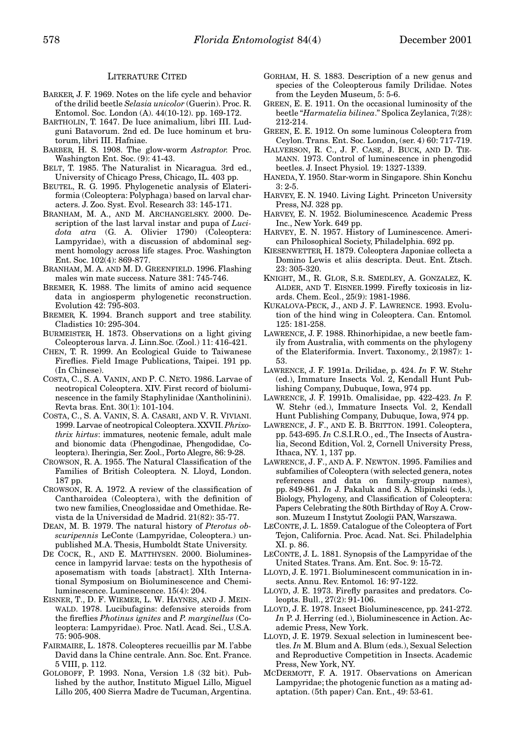### LITERATURE CITED

- BARKER, J. F. 1969. Notes on the life cycle and behavior of the drilid beetle *Selasia unicolor* (Guerin). Proc. R. Entomol. Soc. London (A). 44(10-12). pp. 169-172.
- BARTHOLIN, T. 1647. De luce animalium, libri III. Ludguni Batavorum. 2nd ed. De luce hominum et brutorum, libri III. Hafniae.
- BARBER, H. S. 1908. The glow-worm *Astraptor.* Proc. Washington Ent. Soc. (9): 41-43.
- BELT, T. 1985. The Naturalist in Nicaragua*.* 3rd ed., University of Chicago Press, Chicago, IL. 403 pp.
- BEUTEL, R. G. 1995. Phylogenetic analysis of Elateriformia (Coleoptera: Polyphaga) based on larval characters. J. Zoo. Syst. Evol. Research 33: 145-171.
- BRANHAM, M. A., AND M. ARCHANGELSKY. 2000. Description of the last larval instar and pupa of *Lucidota atra* (G. A. Olivier 1790) (Coleoptera: Lampyridae), with a discussion of abdominal segment homology across life stages. Proc. Washington Ent. Soc. 102(4): 869-877.
- BRANHAM, M. A. AND M. D. GREENFIELD. 1996. Flashing males win mate success. Nature 381: 745-746.
- BREMER, K. 1988. The limits of amino acid sequence data in angiosperm phylogenetic reconstruction. Evolution 42: 795-803.
- BREMER, K. 1994. Branch support and tree stability. Cladistics 10: 295-304.
- BURMEISTER, H. 1873. Observations on a light giving Coleopterous larva. J. Linn.Soc. (Zool.) 11: 416-421.
- CHEN, T. R. 1999. An Ecological Guide to Taiwanese Fireflies. Field Image Publications, Taipei. 191 pp. (In Chinese).
- COSTA, C., S. A. VANIN, AND P. C. NETO. 1986. Larvae of neotropical Coleoptera. XIV. First record of bioluminescence in the family Staphylinidae (Xantholinini). Revta bras. Ent. 30(1): 101-104.
- COSTA, C., S. A. VANIN, S. A. CASARI, AND V. R. VIVIANI. 1999. Larvae of neotropical Coleoptera. XXVII. *Phrixothrix hirtus*: immatures, neotenic female, adult male and bionomic data (Phengodinae, Phengodidae, Coleoptera). Iheringia, Ser. Zool., Porto Alegre, 86: 9-28.
- CROWSON, R. A. 1955. The Natural Classification of the Families of British Coleoptera*.* N. Lloyd, London. 187 pp.
- CROWSON, R. A. 1972. A review of the classification of Cantharoidea (Coleoptera), with the definition of two new families, Cneoglossidae and Omethidae. Revista de la Universidad de Madrid. 21(82): 35-77.
- DEAN, M. B. 1979. The natural history of *Pterotus obscuripennis* LeConte (Lampyridae, Coleoptera.) unpublished M.A. Thesis, Humboldt State University.
- DE COCK, R., AND E. MATTHYSEN. 2000. Bioluminescence in lampyrid larvae: tests on the hypothesis of aposematism with toads [abstract]. XIth International Symposium on Bioluminescence and Chemiluminescence. Luminescence. 15(4): 204.
- EISNER, T., D. F. WIEMER, L. W. HAYNES, AND J. MEIN-WALD. 1978. Lucibufagins: defensive steroids from the fireflies *Photinus ignites* and *P. marginellus* (Coleoptera: Lampyridae). Proc. Natl. Acad. Sci., U.S.A. 75: 905-908.
- FAIRMAIRE, L. 1878. Coleopteres recueillis par M. l'abbe David dans la Chine centrale. Ann. Soc. Ent. France. 5 VIII, p. 112.
- GOLOBOFF, P. 1993. Nona, Version 1.8 (32 bit). Published by the author, Instituto Miguel Lillo, Miguel Lillo 205, 400 Sierra Madre de Tucuman, Argentina.
- GORHAM, H. S. 1883. Description of a new genus and species of the Coleopterous family Drilidae. Notes from the Leyden Museum, 5: 5-6.
- GREEN, E. E. 1911. On the occasional luminosity of the beetle "*Harmatelia bilinea*." Spolica Zeylanica, 7(28): 212-214.
- GREEN, E. E. 1912. On some luminous Coleoptera from Ceylon. Trans. Ent. Soc. London, (ser. 4) 60: 717-719.
- HALVERSON, R. C., J. F. CASE, J. BUCK, AND D. TIE-MANN. 1973. Control of luminescence in phengodid beetles. J. Insect Physiol*.* 19: 1327-1339.
- HANEDA, Y. 1950. Star-worm in Singapore. Shin Konchu 3: 2-5.
- HARVEY, E. N. 1940. Living Light*.* Princeton University Press, NJ. 328 pp.
- HARVEY, E. N. 1952. Bioluminescence*.* Academic Press Inc., New York. 649 pp.
- HARVEY, E. N. 1957. History of Luminescence. American Philosophical Society, Philadelphia. 692 pp.
- KIESENWETTER, H. 1879. Coleoptera Japoniae collecta a Domino Lewis et aliis descripta. Deut. Ent. Ztsch. 23: 305-320.
- KNIGHT, M., R. GLOR, S.R. SMEDLEY, A. GONZALEZ, K. ALDER, AND T. EISNER.1999. Firefly toxicosis in lizards. Chem. Ecol., 25(9): 1981-1986.
- KUKALOVA-PECK, J., AND J. F. LAWRENCE. 1993. Evolution of the hind wing in Coleoptera. Can. Entomol*.* 125: 181-258.
- LAWRENCE, J. F. 1988. Rhinorhipidae, a new beetle family from Australia, with comments on the phylogeny of the Elateriformia. Invert. Taxonomy., 2(1987): 1- 53.
- LAWRENCE, J. F. 1991a. Drilidae, p. 424. *In* F. W. Stehr (ed.), Immature Insects*.* Vol. 2, Kendall Hunt Publishing Company, Dubuque, Iowa, 974 pp.
- LAWRENCE, J. F. 1991b. Omalisidae, pp. 422-423. *In* F. W. Stehr (ed.), Immature Insects*.* Vol. 2, Kendall Hunt Publishing Company, Dubuque, Iowa, 974 pp.
- LAWRENCE, J. F., AND E. B. BRITTON. 1991. Coleoptera, pp. 543-695. *In* C.S.I.R.O., ed., The Insects of Australia, Second Edition, Vol. 2, Cornell University Press, Ithaca, NY. 1, 137 pp.
- LAWRENCE, J. F., AND A. F. NEWTON. 1995. Families and subfamilies of Coleoptera (with selected genera, notes references and data on family-group names), pp. 849-861. *In* J. Pakaluk and S. A. Slipinski (eds.), Biology, Phylogeny, and Classification of Coleoptera: Papers Celebrating the 80th Birthday of Roy A. Crowson. Muzeum I Instytut Zoologii PAN, Warszawa.
- LECONTE, J. L. 1859. Catalogue of the Coleoptera of Fort Tejon, California. Proc. Acad. Nat. Sci. Philadelphia XI. p. 86.
- LECONTE, J. L. 1881. Synopsis of the Lampyridae of the United States. Trans. Am. Ent. Soc. 9: 15-72.
- LLOYD, J. E. 1971. Bioluminescent communication in insects. Annu. Rev. Entomol*.* 16: 97-122.
- LLOYD, J. E. 1973. Firefly parasites and predators. Coleopts. Bull., 27(2): 91-106.
- LLOYD, J. E. 1978. Insect Bioluminescence, pp. 241-272. *In* P. J. Herring (ed.), Bioluminescence in Action. Academic Press, New York.
- LLOYD, J. E. 1979. Sexual selection in luminescent beetles. *In* M. Blum and A. Blum (eds.), Sexual Selection and Reproductive Competition in Insects. Academic Press, New York, NY.
- MCDERMOTT, F. A. 1917. Observations on American Lampyridae; the photogenic function as a mating adaptation. (5th paper) Can. Ent., 49: 53-61.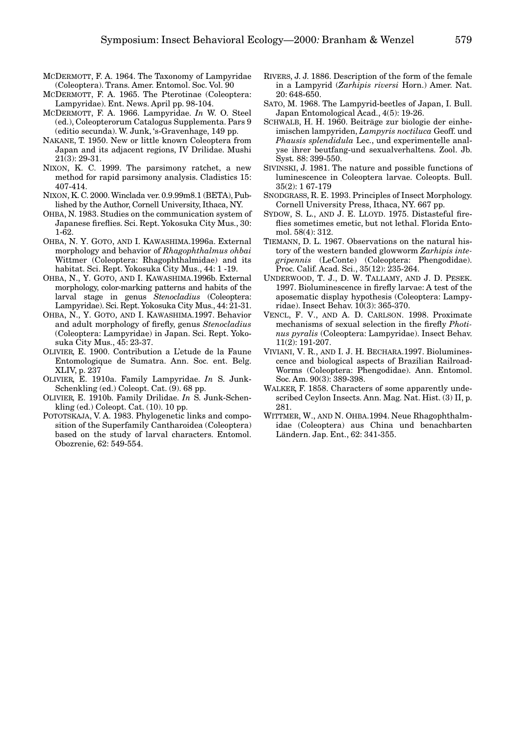- MCDERMOTT, F. A. 1964. The Taxonomy of Lampyridae (Coleoptera). Trans. Amer. Entomol. Soc. Vol. 90
- MCDERMOTT, F. A. 1965. The Pterotinae (Coleoptera: Lampyridae). Ent. News. April pp. 98-104.
- MCDERMOTT, F. A. 1966. Lampyridae. *In* W. O. Steel (ed.), Coleopterorum Catalogus Supplementa. Pars 9 (editio secunda). W. Junk, 's-Gravenhage, 149 pp.
- NAKANE, T. 1950. New or little known Coleoptera from Japan and its adjacent regions, IV Drilidae. Mushi 21(3): 29-31.
- NIXON, K. C. 1999. The parsimony ratchet, a new method for rapid parsimony analysis. Cladistics 15: 407-414.
- NIXON, K. C. 2000. Winclada ver. 0.9.99m8.1 (BETA), Published by the Author, Cornell University, Ithaca, NY.
- OHBA, N. 1983. Studies on the communication system of Japanese fireflies. Sci. Rept. Yokosuka City Mus., 30: 1-62.
- OHBA, N. Y. GOTO, AND I. KAWASHIMA.1996a. External morphology and behavior of *Rhagophthalmus ohbai* Wittmer (Coleoptera: Rhagophthalmidae) and its habitat. Sci. Rept. Yokosuka City Mus., 44: 1 -19.
- OHBA, N., Y. GOTO, AND I. KAWASHIMA.1996b. External morphology, color-marking patterns and habits of the larval stage in genus *Stenocladius* (Coleoptera: Lampyridae). Sci. Rept. Yokosuka City Mus., 44: 21-31.
- OHBA, N., Y. GOTO, AND I. KAWASHIMA.1997. Behavior and adult morphology of firefly, genus *Stenocladius* (Coleoptera: Lampyridae) in Japan. Sci. Rept. Yokosuka City Mus., 45: 23-37.
- OLIVIER, E. 1900. Contribution a L'etude de la Faune Entomologique de Sumatra. Ann. Soc. ent. Belg. XLIV, p. 237
- OLIVIER, E. 1910a. Family Lampyridae. *In* S. Junk-Schenkling (ed.) Coleopt. Cat. (9). 68 pp.
- OLIVIER, E. 1910b. Family Drilidae. *In* S. Junk-Schenkling (ed.) Coleopt. Cat. (10). 10 pp.
- POTOTSKAJA, V. A. 1983. Phylogenetic links and composition of the Superfamily Cantharoidea (Coleoptera) based on the study of larval characters. Entomol. Obozrenie, 62: 549-554.
- RIVERS, J. J. 1886. Description of the form of the female in a Lampyrid (*Zarhipis riversi* Horn.) Amer. Nat. 20: 648-650.
- SATO, M. 1968. The Lampyrid-beetles of Japan, I. Bull. Japan Entomological Acad., 4(5): 19-26.
- SCHWALB, H. H. 1960. Beiträge zur biologie der einheimischen lampyriden, *Lampyris noctiluca* Geoff. und *Phausis splendidula* Lec., und experimentelle analyse ihrer beutfang-und sexualverhaltens. Zool. Jb. Syst*.* 88: 399-550.
- SIVINSKI, J. 1981. The nature and possible functions of luminescence in Coleoptera larvae. Coleopts. Bull. 35(2): 1 67-179
- SNODGRASS, R. E. 1993. Principles of Insect Morphology. Cornell University Press, Ithaca, NY. 667 pp.
- SYDOW, S. L., AND J. E. LLOYD. 1975. Distasteful fireflies sometimes emetic, but not lethal. Florida Entomol. 58(4): 312.
- TIEMANN, D. L. 1967. Observations on the natural history of the western banded glowworm *Zarhipis integripennis* (LeConte) (Coleoptera: Phengodidae). Proc. Calif. Acad. Sci., 35(12): 235-264.
- UNDERWOOD, T. J., D. W. TALLAMY, AND J. D. PESEK. 1997. Bioluminescence in firefly larvae: A test of the aposematic display hypothesis (Coleoptera: Lampyridae). Insect Behav. 10(3): 365-370.
- VENCL, F. V., AND A. D. CARLSON. 1998. Proximate mechanisms of sexual selection in the firefly *Photinus pyralis* (Coleoptera: Lampyridae). Insect Behav. 11(2): 191-207.
- VIVIANI, V. R., AND I. J. H. BECHARA.1997. Bioluminescence and biological aspects of Brazilian Railroad-Worms (Coleoptera: Phengodidae). Ann. Entomol. Soc. Am. 90(3): 389-398.
- WALKER, F. 1858. Characters of some apparently undescribed Ceylon Insects. Ann. Mag. Nat. Hist. (3) II, p. 281.
- WITTMER, W., AND N. OHBA.1994. Neue Rhagophthalmidae (Coleoptera) aus China und benachbarten Ländern. Jap. Ent., 62: 341-355.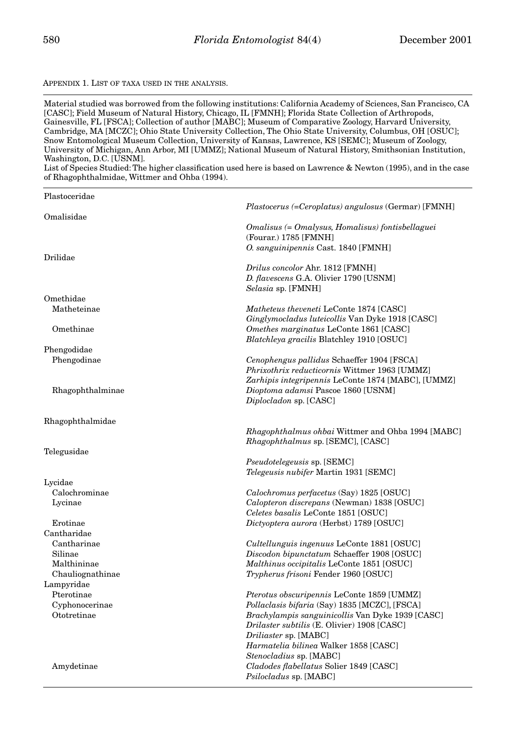### APPENDIX 1. LIST OF TAXA USED IN THE ANALYSIS.

Material studied was borrowed from the following institutions: California Academy of Sciences, San Francisco, CA [CASC]; Field Museum of Natural History, Chicago, IL [FMNH]; Florida State Collection of Arthropods, Gainesville, FL [FSCA]; Collection of author [MABC]; Museum of Comparative Zoology, Harvard University, Cambridge, MA [MCZC]; Ohio State University Collection, The Ohio State University, Columbus, OH [OSUC]; Snow Entomological Museum Collection, University of Kansas, Lawrence, KS [SEMC]; Museum of Zoology, University of Michigan, Ann Arbor, MI [UMMZ]; National Museum of Natural History, Smithsonian Institution, Washington, D.C. [USNM].

List of Species Studied: The higher classification used here is based on Lawrence & Newton (1995), and in the case of Rhagophthalmidae, Wittmer and Ohba (1994).

| Plastoceridae           |                                                                                             |
|-------------------------|---------------------------------------------------------------------------------------------|
|                         | <i>Plastocerus (=Ceroplatus) angulosus (Germar)</i> [FMNH]                                  |
| Omalisidae              |                                                                                             |
|                         | Omalisus (= Omalysus, Homalisus) fontisbellaguei                                            |
|                         | (Fourar.) 1785 [FMNH]<br>O. sanguinipennis Cast. 1840 [FMNH]                                |
| Drilidae                |                                                                                             |
|                         | Drilus concolor Ahr. 1812 [FMNH]                                                            |
|                         | D. flavescens G.A. Olivier 1790 [USNM]                                                      |
|                         | Selasia sp. [FMNH]                                                                          |
| Omethidae               |                                                                                             |
| Matheteinae             | Matheteus theveneti LeConte 1874 [CASC]                                                     |
|                         | Ginglymocladus luteicollis Van Dyke 1918 [CASC]                                             |
| Omethinae               | Omethes marginatus LeConte 1861 [CASC]                                                      |
|                         | Blatchleya gracilis Blatchley 1910 [OSUC]                                                   |
| Phengodidae             |                                                                                             |
| Phengodinae             | Cenophengus pallidus Schaeffer 1904 [FSCA]<br>Phrixothrix reducticornis Wittmer 1963 [UMMZ] |
|                         | Zarhipis integripennis LeConte 1874 [MABC], [UMMZ]                                          |
| Rhagophthalminae        | Dioptoma adamsi Pascoe 1860 [USNM]                                                          |
|                         | Diplocladon sp. [CASC]                                                                      |
|                         |                                                                                             |
| Rhagophthalmidae        |                                                                                             |
|                         | <i>Rhagophthalmus ohbai</i> Wittmer and Ohba 1994 [MABC]                                    |
|                         | <i>Rhagophthalmus</i> sp. [SEMC], [CASC]                                                    |
| Telegusidae             |                                                                                             |
|                         | <i>Pseudotelegeusis</i> sp. [SEMC]                                                          |
|                         | <i>Telegeusis nubifer</i> Martin 1931 [SEMC]                                                |
| Lycidae                 |                                                                                             |
| Calochrominae           | Calochromus perfacetus (Say) 1825 [OSUC]                                                    |
| Lycinae                 | Calopteron discrepans (Newman) 1838 [OSUC]                                                  |
|                         | Celetes basalis LeConte 1851 [OSUC]                                                         |
| Erotinae<br>Cantharidae | Dictyoptera aurora (Herbst) 1789 [OSUC]                                                     |
| Cantharinae             | Cultellunguis ingenuus LeConte 1881 [OSUC]                                                  |
| Silinae                 | Discodon bipunctatum Schaeffer 1908 [OSUC]                                                  |
| Malthininae             | Malthinus occipitalis LeConte 1851 [OSUC]                                                   |
| Chauliognathinae        | Trypherus frisoni Fender 1960 [OSUC]                                                        |
| Lampyridae              |                                                                                             |
| Pterotinae              | <i>Pterotus obscuripennis</i> LeConte 1859 [UMMZ]                                           |
| Cyphonocerinae          | Pollaclasis bifaria (Say) 1835 [MCZC], [FSCA]                                               |
| Ototretinae             | <i>Brachylampis sanguinicollis</i> Van Dyke 1939 [CASC]                                     |
|                         | <i>Drilaster subtilis</i> (E. Olivier) 1908 [CASC]                                          |
|                         | Driliaster sp. [MABC]                                                                       |
|                         | <i>Harmatelia bilinea</i> Walker 1858 [CASC]                                                |
|                         | Stenocladius sp. [MABC]                                                                     |
| Amydetinae              | Cladodes flabellatus Solier 1849 [CASC]                                                     |
|                         | <i>Psilocladus</i> sp. [MABC]                                                               |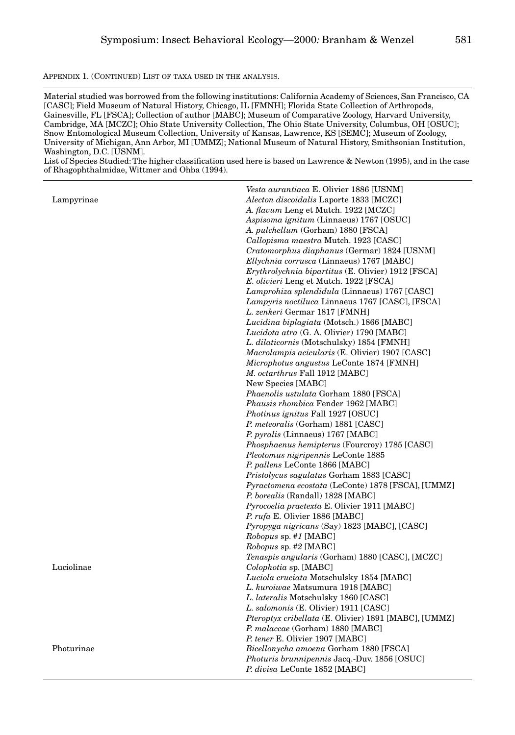APPENDIX 1. (CONTINUED) LIST OF TAXA USED IN THE ANALYSIS.

Material studied was borrowed from the following institutions: California Academy of Sciences, San Francisco, CA [CASC]; Field Museum of Natural History, Chicago, IL [FMNH]; Florida State Collection of Arthropods, Gainesville, FL [FSCA]; Collection of author [MABC]; Museum of Comparative Zoology, Harvard University, Cambridge, MA [MCZC]; Ohio State University Collection, The Ohio State University, Columbus, OH [OSUC]; Snow Entomological Museum Collection, University of Kansas, Lawrence, KS [SEMC]; Museum of Zoology, University of Michigan, Ann Arbor, MI [UMMZ]; National Museum of Natural History, Smithsonian Institution, Washington, D.C. [USNM].

List of Species Studied: The higher classification used here is based on Lawrence & Newton (1995), and in the case of Rhagophthalmidae, Wittmer and Ohba (1994).

|            | Vesta aurantiaca E. Olivier 1886 [USNM]                      |
|------------|--------------------------------------------------------------|
| Lampyrinae | Alecton discoidalis Laporte 1833 [MCZC]                      |
|            | A. flavum Leng et Mutch. 1922 [MCZC]                         |
|            | Aspisoma ignitum (Linnaeus) 1767 [OSUC]                      |
|            | A. pulchellum (Gorham) 1880 [FSCA]                           |
|            | Callopisma maestra Mutch. 1923 [CASC]                        |
|            | Cratomorphus diaphanus (Germar) 1824 [USNM]                  |
|            | <i>Ellychnia corrusca</i> (Linnaeus) 1767 [MABC]             |
|            | <i>Erythrolychnia bipartitus</i> (E. Olivier) 1912 [FSCA]    |
|            | E. olivieri Leng et Mutch. 1922 [FSCA]                       |
|            | Lamprohiza splendidula (Linnaeus) 1767 [CASC]                |
|            | Lampyris noctiluca Linnaeus 1767 [CASC], [FSCA]              |
|            | L. zenkeri Germar 1817 [FMNH]                                |
|            | Lucidina biplagiata (Motsch.) 1866 [MABC]                    |
|            | Lucidota atra (G. A. Olivier) 1790 [MABC]                    |
|            | <i>L. dilaticornis</i> (Motschulsky) 1854 [FMNH]             |
|            | Macrolampis acicularis (E. Olivier) 1907 [CASC]              |
|            | <i>Microphotus angustus</i> LeConte 1874 [FMNH]              |
|            | M. octarthrus Fall 1912 [MABC]                               |
|            | New Species [MABC]                                           |
|            | Phaenolis ustulata Gorham 1880 [FSCA]                        |
|            | <i>Phausis rhombica</i> Fender 1962 [MABC]                   |
|            | Photinus ignitus Fall 1927 [OSUC]                            |
|            | P. meteoralis (Gorham) 1881 [CASC]                           |
|            | P. pyralis (Linnaeus) 1767 [MABC]                            |
|            | <i>Phosphaenus hemipterus</i> (Fourcroy) 1785 [CASC]         |
|            | Pleotomus nigripennis LeConte 1885                           |
|            | P. pallens LeConte 1866 [MABC]                               |
|            | <i>Pristolycus sagulatus</i> Gorham 1883 [CASC]              |
|            | Pyractomena ecostata (LeConte) 1878 [FSCA], [UMMZ]           |
|            | <i>P. borealis</i> (Randall) 1828 [MABC]                     |
|            | <i>Pyrocoelia praetexta</i> E. Olivier 1911 [MABC]           |
|            | P. rufa E. Olivier 1886 [MABC]                               |
|            | Pyropyga nigricans (Say) 1823 [MABC], [CASC]                 |
|            | <i>Robopus</i> sp. #1 [MABC]                                 |
|            | <i>Robopus</i> sp. #2 [MABC]                                 |
|            | Tenaspis angularis (Gorham) 1880 [CASC], [MCZC]              |
| Luciolinae | Colophotia sp. [MABC]                                        |
|            | Luciola cruciata Motschulsky 1854 [MABC]                     |
|            | L. kuroiwae Matsumura 1918 [MABC]                            |
|            | L. lateralis Motschulsky 1860 [CASC]                         |
|            | L. salomonis (E. Olivier) 1911 [CASC]                        |
|            | <i>Pteroptyx cribellata</i> (E. Olivier) 1891 [MABC], [UMMZ] |
|            | P. malaccae (Gorham) 1880 [MABC]                             |
|            | P. tener E. Olivier 1907 [MABC]                              |
| Photurinae | Bicellonycha amoena Gorham 1880 [FSCA]                       |
|            | Photuris brunnipennis Jacq.-Duv. 1856 [OSUC]                 |
|            | P. divisa LeConte 1852 [MABC]                                |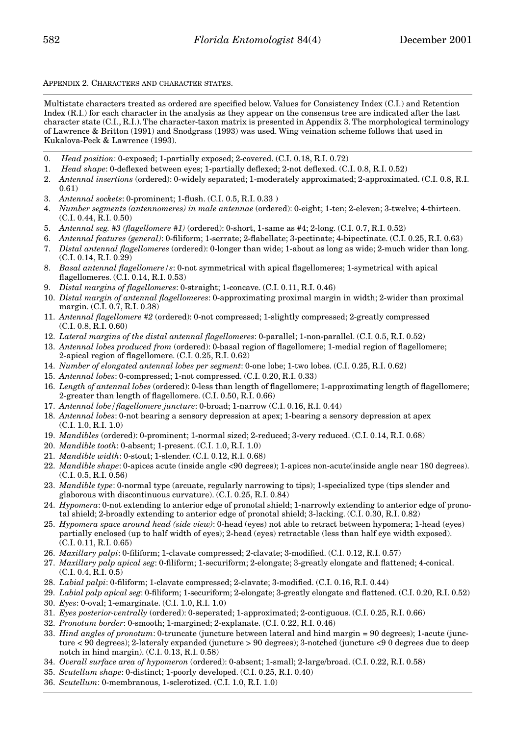APPENDIX 2. CHARACTERS AND CHARACTER STATES.

Multistate characters treated as ordered are specified below. Values for Consistency Index (C.I.) and Retention Index (R.I.) for each character in the analysis as they appear on the consensus tree are indicated after the last character state (C.I., R.I.). The character-taxon matrix is presented in Appendix 3. The morphological terminology of Lawrence & Britton (1991) and Snodgrass (1993) was used. Wing veination scheme follows that used in Kukalova-Peck & Lawrence (1993).

- 0. *Head position*: 0-exposed; 1-partially exposed; 2-covered. (C.I. 0.18, R.I. 0.72)
- 1. *Head shape*: 0-deflexed between eyes; 1-partially deflexed; 2-not deflexed. (C.I. 0.8, R.I. 0.52)
- 2. *Antennal insertions* (ordered): 0-widely separated; 1-moderately approximated; 2-approximated. (C.I. 0.8, R.I. 0.61)
- 3. *Antennal sockets*: 0-prominent; 1-flush. (C.I. 0.5, R.I. 0.33 )
- 4. *Number segments (antennomeres) in male antennae* (ordered): 0-eight; 1-ten; 2-eleven; 3-twelve; 4-thirteen. (C.I. 0.44, R.I. 0.50)
- 5. *Antennal seg. #3 (flagellomere #1)* (ordered): 0-short, 1-same as #4; 2-long. (C.I. 0.7, R.I. 0.52)
- 6. *Antennal features (general)*: 0-filiform; 1-serrate; 2-flabellate; 3-pectinate; 4-bipectinate. (C.I. 0.25, R.I. 0.63)
- 7. *Distal antennal flagellomeres* (ordered): 0-longer than wide; 1-about as long as wide; 2-much wider than long. (C.I. 0.14, R.I. 0.29)
- 8. *Basal antennal flagellomere/s*: 0-not symmetrical with apical flagellomeres; 1-symetrical with apical flagellomeres. (C.I. 0.14, R.I. 0.53)
- 9. *Distal margins of flagellomeres*: 0-straight; 1-concave. (C.I. 0.11, R.I. 0.46)
- 10. *Distal margin of antennal flagellomeres*: 0-approximating proximal margin in width; 2-wider than proximal margin. (C.I. 0.7, R.I. 0.38)
- 11. *Antennal flagellomere #2* (ordered): 0-not compressed; 1-slightly compressed; 2-greatly compressed (C.I. 0.8, R.I. 0.60)
- 12. *Lateral margins of the distal antennal flagellomeres*: 0-parallel; 1-non-parallel. (C.I. 0.5, R.I. 0.52)
- 13. *Antennal lobes produced from* (ordered): 0-basal region of flagellomere; 1-medial region of flagellomere; 2-apical region of flagellomere. (C.I. 0.25, R.I. 0.62)
- 14. *Number of elongated antennal lobes per segment*: 0-one lobe; 1-two lobes. (C.I. 0.25, R.I. 0.62)
- 15. *Antennal lobes*: 0-compressed; 1-not compressed. (C.I. 0.20, R.I. 0.33)
- 16. *Length of antennal lobes* (ordered): 0-less than length of flagellomere; 1-approximating length of flagellomere; 2-greater than length of flagellomere. (C.I. 0.50, R.I. 0.66)
- 17. *Antennal lobe/flagellomere juncture*: 0-broad; 1-narrow (C.I. 0.16, R.I. 0.44)
- 18. *Antennal lobes*: 0-not bearing a sensory depression at apex; 1-bearing a sensory depression at apex (C.I. 1.0, R.I. 1.0)
- 19. *Mandibles* (ordered): 0-prominent; 1-normal sized; 2-reduced; 3-very reduced. (C.I. 0.14, R.I. 0.68)
- 20. *Mandible tooth*: 0-absent; 1-present. (C.I. 1.0, R.I. 1.0)
- 21. *Mandible width*: 0-stout; 1-slender. (C.I. 0.12, R.I. 0.68)
- 22. *Mandible shape*: 0-apices acute (inside angle <90 degrees); 1-apices non-acute(inside angle near 180 degrees). (C.I. 0.5, R.I. 0.56)
- 23. *Mandible type*: 0-normal type (arcuate, regularly narrowing to tips); 1-specialized type (tips slender and glaborous with discontinuous curvature). (C.I. 0.25, R.I. 0.84)
- 24. *Hypomera*: 0-not extending to anterior edge of pronotal shield; 1-narrowly extending to anterior edge of pronotal shield; 2-broadly extending to anterior edge of pronotal shield; 3-lacking. (C.I. 0.30, R.I. 0.82)
- 25. *Hypomera space around head (side view)*: 0-head (eyes) not able to retract between hypomera; 1-head (eyes) partially enclosed (up to half width of eyes); 2-head (eyes) retractable (less than half eye width exposed). (C.I. 0.11, R.I. 0.65)
- 26. *Maxillary palpi*: 0-filiform; 1-clavate compressed; 2-clavate; 3-modified. (C.I. 0.12, R.I. 0.57)
- 27. *Maxillary palp apical seg*: 0-filiform; 1-securiform; 2-elongate; 3-greatly elongate and flattened; 4-conical. (C.I. 0.4, R.I. 0.5)
- 28. *Labial palpi*: 0-filiform; 1-clavate compressed; 2-clavate; 3-modified. (C.I. 0.16, R.I. 0.44)
- 29. *Labial palp apical seg*: 0-filiform; 1-securiform; 2-elongate; 3-greatly elongate and flattened. (C.I. 0.20, R.I. 0.52)
- 30. *Eyes*: 0-oval; 1-emarginate. (C.I. 1.0, R.I. 1.0)
- 31. *Eyes posterior-ventrally* (ordered): 0-seperated; 1-approximated; 2-contiguous. (C.I. 0.25, R.I. 0.66)
- 32. *Pronotum border*: 0-smooth; 1-margined; 2-explanate. (C.I. 0.22, R.I. 0.46)
- 33. *Hind angles of pronotum*: 0-truncate (juncture between lateral and hind margin = 90 degrees); 1-acute (juncture < 90 degrees); 2-lateraly expanded (juncture > 90 degrees); 3-notched (juncture <9 0 degrees due to deep notch in hind margin). (C.I. 0.13, R.I. 0.58)
- 34. *Overall surface area of hypomeron* (ordered): 0-absent; 1-small; 2-large/broad. (C.I. 0.22, R.I. 0.58)
- 35. *Scutellum shape*: 0-distinct; 1-poorly developed. (C.I. 0.25, R.I. 0.40)
- 36. *Scutellum*: 0-membranous, 1-sclerotized. (C.I. 1.0, R.I. 1.0)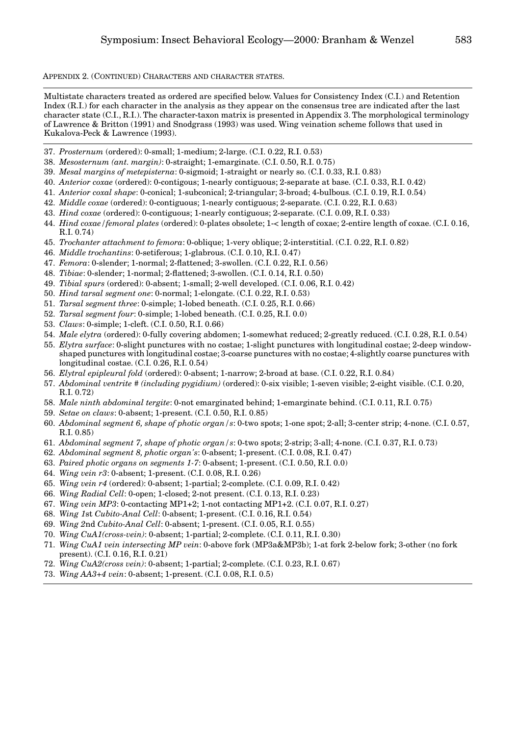APPENDIX 2. (CONTINUED) CHARACTERS AND CHARACTER STATES.

Multistate characters treated as ordered are specified below. Values for Consistency Index (C.I.) and Retention Index (R.I.) for each character in the analysis as they appear on the consensus tree are indicated after the last character state (C.I., R.I.). The character-taxon matrix is presented in Appendix 3. The morphological terminology of Lawrence & Britton (1991) and Snodgrass (1993) was used. Wing veination scheme follows that used in Kukalova-Peck & Lawrence (1993).

- 37. *Prosternum* (ordered): 0-small; 1-medium; 2-large. (C.I. 0.22, R.I. 0.53)
- 38. *Mesosternum (ant. margin)*: 0-straight; 1-emarginate. (C.I. 0.50, R.I. 0.75)
- 39. *Mesal margins of metepisterna*: 0-sigmoid; 1-straight or nearly so. (C.I. 0.33, R.I. 0.83)
- 40. *Anterior coxae* (ordered): 0-contigous; 1-nearly contiguous; 2-separate at base. (C.I. 0.33, R.I. 0.42)
- 41. *Anterior coxal shape*: 0-conical; 1-subconical; 2-triangular; 3-broad; 4-bulbous. (C.I. 0.19, R.I. 0.54)
- 42. *Middle coxae* (ordered): 0-contiguous; 1-nearly contiguous; 2-separate. (C.I. 0.22, R.I. 0.63)
- 43. *Hind coxae* (ordered): 0-contiguous; 1-nearly contiguous; 2-separate. (C.I. 0.09, R.I. 0.33)
- 44. *Hind coxae/femoral plates* (ordered): 0-plates obsolete; 1-< length of coxae; 2-entire length of coxae. (C.I. 0.16, R.I. 0.74)
- 45. *Trochanter attachment to femora*: 0-oblique; 1-very oblique; 2-interstitial. (C.I. 0.22, R.I. 0.82)
- 46. *Middle trochantins*: 0-setiferous; 1-glabrous. (C.I. 0.10, R.I. 0.47)
- 47. *Femora*: 0-slender; 1-normal; 2-flattened; 3-swollen. (C.I. 0.22, R.I. 0.56)
- 48. *Tibiae*: 0-slender; 1-normal; 2-flattened; 3-swollen. (C.I. 0.14, R.I. 0.50)
- 49. *Tibial spurs* (ordered): 0-absent; 1-small; 2-well developed. (C.I. 0.06, R.I. 0.42)
- 50. *Hind tarsal segment one*: 0-normal; 1-elongate. (C.I. 0.22, R.I. 0.53)
- 51. *Tarsal segment three*: 0-simple; 1-lobed beneath. (C.I. 0.25, R.I. 0.66)
- 52. *Tarsal segment four*: 0-simple; 1-lobed beneath. (C.I. 0.25, R.I. 0.0)
- 53. *Claws*: 0-simple; 1-cleft. (C.I. 0.50, R.I. 0.66)
- 54. *Male elytra* (ordered): 0-fully covering abdomen; 1-somewhat reduced; 2-greatly reduced. (C.I. 0.28, R.I. 0.54)
- 55. *Elytra surface*: 0-slight punctures with no costae; 1-slight punctures with longitudinal costae; 2-deep windowshaped punctures with longitudinal costae; 3-coarse punctures with no costae; 4-slightly coarse punctures with longitudinal costae. (C.I. 0.26, R.I. 0.54)
- 56. *Elytral epipleural fold* (ordered): 0-absent; 1-narrow; 2-broad at base. (C.I. 0.22, R.I. 0.84)
- 57. *Abdominal ventrite # (including pygidium)* (ordered): 0-six visible; 1-seven visible; 2-eight visible. (C.I. 0.20, R.I. 0.72)
- 58. *Male ninth abdominal tergite*: 0-not emarginated behind; 1-emarginate behind. (C.I. 0.11, R.I. 0.75)
- 59. *Setae on claws*: 0-absent; 1-present. (C.I. 0.50, R.I. 0.85)
- 60. *Abdominal segment 6, shape of photic organ/s*: 0-two spots; 1-one spot; 2-all; 3-center strip; 4-none. (C.I. 0.57, R.I. 0.85)
- 61. *Abdominal segment 7, shape of photic organ/s*: 0-two spots; 2-strip; 3-all; 4-none. (C.I. 0.37, R.I. 0.73)
- 62. *Abdominal segment 8, photic organ's*: 0-absent; 1-present. (C.I. 0.08, R.I. 0.47)
- 63. *Paired photic organs on segments 1-7*: 0-absent; 1-present. (C.I. 0.50, R.I. 0.0)
- 64. *Wing vein r3*: 0-absent; 1-present. (C.I. 0.08, R.I. 0.26)
- 65. *Wing vein r4* (ordered): 0-absent; 1-partial; 2-complete. (C.I. 0.09, R.I. 0.42)
- 66. *Wing Radial Cell*: 0-open; 1-closed; 2-not present. (C.I. 0.13, R.I. 0.23)
- 67. *Wing vein MP3*: 0-contacting MP1+2; 1-not contacting MP1+2. (C.I. 0.07, R.I. 0.27)
- 68. *Wing 1*st *Cubito-Anal Cell*: 0-absent; 1-present. (C.I. 0.16, R.I. 0.54)
- 69. *Wing 2*nd *Cubito-Anal Cell*: 0-absent; 1-present. (C.I. 0.05, R.I. 0.55)
- 70. *Wing CuA1(cross-vein)*: 0-absent; 1-partial; 2-complete. (C.I. 0.11, R.I. 0.30)
- 71. *Wing CuA1 vein intersecting MP vein*: 0-above fork (MP3a&MP3b); 1-at fork 2-below fork; 3-other (no fork present). (C.I. 0.16, R.I. 0.21)
- 72. *Wing CuA2(cross vein)*: 0-absent; 1-partial; 2-complete. (C.I. 0.23, R.I. 0.67)
- 73. *Wing AA3+4 vein*: 0-absent; 1-present. (C.I. 0.08, R.I. 0.5)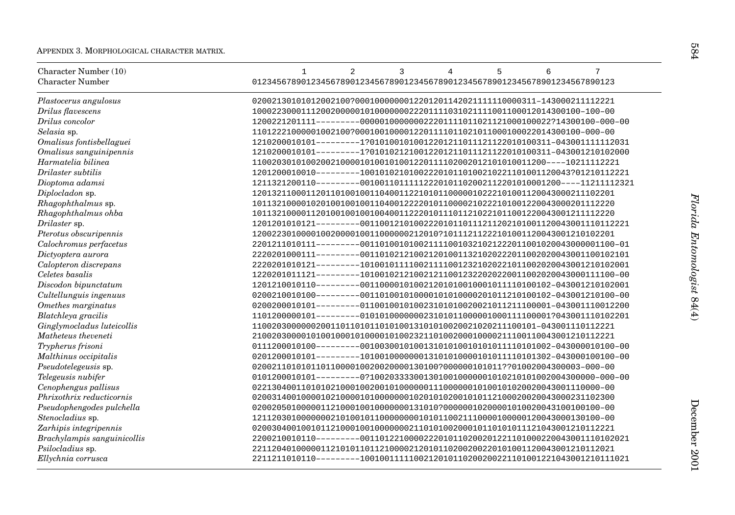| Character Number (10)<br><b>Character Number</b> | 7<br>2<br>3<br>5<br>6<br>$\mathbf{1}$<br>$\overline{4}$<br>01234567890123456789012345678901234567890123456789012345678901234567890123 |
|--------------------------------------------------|---------------------------------------------------------------------------------------------------------------------------------------|
| Plastocerus angulosus                            | 02002130101012002100?0001000000012201201142021111110000311-143000211112221                                                            |
| Drilus flavescens                                |                                                                                                                                       |
| Drilus concolor                                  | $1200221201111------00000100000022201111011021121000100022?14300100-000-00$                                                           |
| Selasia sp.                                      |                                                                                                                                       |
| Omalisus fontisbellaguei                         | 1210200010101---------1?0101001010012201211011121122010100311-043001111112031                                                         |
| Omalisus sanguinipennis                          | $1210200010101-------1?0101021210012201211011121122010100311-043001210102000$                                                         |
| Harmatelia bilinea                               | $110020301010020021000010100101001220111102002012101010011200---10211112221$                                                          |
| Drilaster subtilis                               | 1201200010010---------1001010210100222010110100210221101001120043?01210112221                                                         |
| Dioptoma adamsi                                  | 1211321200110--------00100110111112220101102002112201010001200----11211112321                                                         |
| Diplocladon sp.                                  | 12013211000112011010010011040011221010110000010222101001120043000211102201                                                            |
| Rhagophthalmus sp.                               | 10113210000102010010010011040012222010110000210222101001220043000201112220                                                            |
| Rhagophthalmus ohba                              | 10113210000112010010010010040011222010111011210221011001220043001211112220                                                            |
| Drilaster sp.                                    | $1201201010121------0011001210100222010110111211202101001120043001110112221$                                                          |
| Pterotus obscuripennis                           | 12002230100001002000010011000000212010?10111211222101001120043001210102201                                                            |
| Calochromus perfacetus                           | $2201211010111------0011010010100211110010321021222011001020043000001100-01$                                                          |
| Dictyoptera aurora                               | 2220201000111---------0011010212100212010011321020222011002020043001100102101                                                         |
| Calopteron discrepans                            | 2220201010121--------1010010111100211110012321020221011002020043001210102001                                                          |
| Celetes basalis                                  | 1220201011121---------1010010212100212110012322020220011002020043000111100-00                                                         |
| Discodon bipunctatum                             |                                                                                                                                       |
| Cultellunguis ingenuus                           | 0200210010100---------001101001010000101010000201011210100102-043001210100-00                                                         |
| Omethes marginatus                               | $0200200010101------011001001010023101010020021011211100001-043001110012200$                                                          |
| Blatchleya gracilis                              | $1101200000101------010101000000023101011000001000111100001?043001110102201$                                                          |
| Ginglymocladus luteicollis                       | 110020300000020011011010101010013101010020021020211100101-043001110112221                                                             |
| Matheteus theveneti                              |                                                                                                                                       |
| Trypherus frisoni                                |                                                                                                                                       |
| Malthinus occipitalis                            | $0201200010101------101001000000013101010000101011110101302-043000100100-00$                                                          |
| Pseudotelegeusis sp.                             | 02002110101011011000010020020000130100?000000101011??01002004300003-000-00                                                            |
| Telegeusis nubifer                               | $0101200010101-------0?1002033330013010010000001010210101002004300000-000-000$                                                        |
| Cenophengus pallisus                             |                                                                                                                                       |
| Phrixothrix reducticornis                        |                                                                                                                                       |
| Pseudophengodes pulchella                        | 02002050100000112100010010000000131010?00000010200001010020043100100100-00                                                            |
| Stenocladius sp.                                 | 12112030100000002101001011000000001010110021110000100000120043000130100-00                                                            |
| Zarhipis integripennis                           |                                                                                                                                       |
| Brachylampis sanguinicollis                      | 2200210010110---------0011012210000222010110200201221101000220043001110102021                                                         |
| Psilocladius sp.                                 |                                                                                                                                       |
| Ellychnia corrusca                               | 2211211010110--------1001001111100212010110200200221101001221043001210111021                                                          |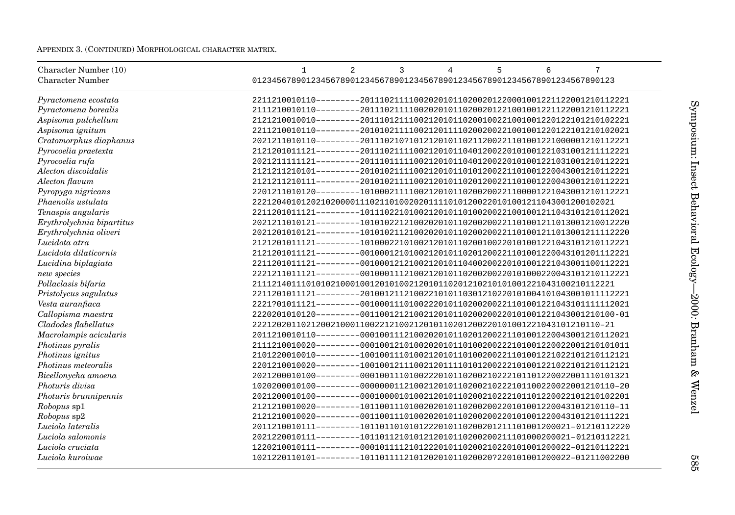APPENDIX 3. (CONTINUED) MORPHOLOGICAL CHARACTER MATRIX.

| Character Number (10)<br><b>Character Number</b> | $\overline{2}$<br>7<br>3<br>5<br>6<br>$\mathbf{1}$<br>4<br>01234567890123456789012345678901234567890123456789012345678901234567890123 |
|--------------------------------------------------|---------------------------------------------------------------------------------------------------------------------------------------|
|                                                  |                                                                                                                                       |
| Pyractomena ecostata                             | 2211210010110--------2011102111100202010110200201220001001221122001210112221                                                          |
| Pyractomena borealis                             | Symposium:<br>2111210010110--------2011102111100202010110200201221001001221122001210112221                                            |
| Aspisoma pulchellum                              | 2121210010010--------2011101211100212010110200100221001001220122101210102221                                                          |
| Aspisoma ignitum                                 | 2211210010110--------2010102111100212011110200200221001001220122101210102021                                                          |
| Cratomorphus diaphanus                           | 2021211010110--------201110210?101212010110211200221101001221000001210112221                                                          |
| Pyrocoelia praetexta                             | 2121201011121--------2011102111100212010110401200220101001221031001211112221                                                          |
| Pyrocoelia rufa                                  | 2021211111121--------2011101111100212010110401200220101001221031001210112221                                                          |
| Alecton discoidalis                              | Insect<br>2121211210101--------2010102111100212010110101200221101001220043001210112221                                                |
| Alecton flavum                                   | 2121211210111--------2010102111100212010110201200221101001220043001210112221                                                          |
| Pyropyga nigricans                               | 2201211010120--------1010002111100212010110200200221100001221043001210112221                                                          |
| Phaenolis ustulata                               | Behavioral<br>22212040101202102000011102110100202011110101200220101001211043001200102021                                              |
| Tenaspis angularis                               | 2211201011121---------1011102210100212010110100200221001001211043101210112021                                                         |
| Erythrolychnia bipartitus                        | 2021211010121--------1010102212100202010110200200221101001211013001210012220                                                          |
| Erythrolychnia oliveri                           | 2021201010121--------1010102112100202010110200200221101001211013001211112220                                                          |
| Lucidota atra                                    | 2121201011121---------1010002210100212010110200100220101001221043101210112221                                                         |
| Lucidota dilaticornis                            | 2121201011121--------0010001210100212010110201200221101001220043101201112221                                                          |
| Lucidina biplagiata                              | 2211201011121--------0010001212100212010110400200220101001221043001100112221                                                          |
| new species                                      | <b>Ecology</b><br>2221211011121--------0010001112100212010110200200220101000220043101210112221                                        |
| Pollaclasis bifaria                              |                                                                                                                                       |
| Pristolycus sagulatus                            | 2211201011121--------2010012112100221010110301210220101004101043001011112221                                                          |
| Vesta auranfiaca                                 | $-2000$ :<br>2221?01011121--------0010001110100222010110200200221101001221043101111112021                                             |
| Callopisma maestra                               | 2220201010120---------0011001212100212010110200200220101001221043001210100-01                                                         |
| Cladodes flabellatus                             | 22212020110212002100011002212100212010110201200220101001221043101210110-21                                                            |
| Macrolampis acicularis                           | 2011210010110--------0001001112100202010110201200221101001220043001210112021                                                          |
| Photinus pyralis                                 | Branham<br>2111210010020--------0001001210100202010110100200222101001220022001210101011                                               |
| Photinus ignitus                                 | 2101220010010---------1001001110100212010110100200221101001221022101210112121                                                         |
| Photinus meteoralis                              | 2201210010020--------1001001211100212011110101200222101001221022101210112121                                                          |
| Bicellonycha amoena                              | &<br>2021200010100--------0001001110100222010110200210222101101220022001110101321                                                     |
| Photuris divisa                                  | 1020200010100--------0000000112100212010110200210222101100220022001210110-20                                                          |
| Photuris brunnipennis                            | Wenzel<br>2021200010100--------0001000010100212010110200210222101101220022101210102201                                                |
| Robopus sp1                                      | 2121210010020--------1011001110100202010110200200220101001220043101210110-11                                                          |
| Robopus sp2                                      | $2121210010020------0011001110100202010110200200220101001220043101210111221$                                                          |
| Luciola lateralis                                |                                                                                                                                       |
| Luciola salomonis                                | 2021220010111---------1011011210101212010110200200211101000200021-01210112221                                                         |
| Luciola cruciata                                 | 1220210010111---------0001011112101222010110200210220101001200022-01210112221                                                         |
| Luciola kuroiwae                                 | 1021220110101---------101101111210120201011020020?220101001200022-01211002200<br>989                                                  |